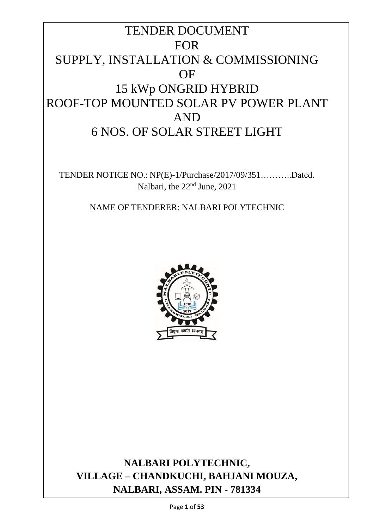# TENDER DOCUMENT FOR SUPPLY, INSTALLATION & COMMISSIONING OF 15 kWp ONGRID HYBRID ROOF-TOP MOUNTED SOLAR PV POWER PLANT AND 6 NOS. OF SOLAR STREET LIGHT

TENDER NOTICE NO.: NP(E)-1/Purchase/2017/09/351………..Dated. Nalbari, the 22nd June, 2021

NAME OF TENDERER: NALBARI POLYTECHNIC



**NALBARI POLYTECHNIC, VILLAGE – CHANDKUCHI, BAHJANI MOUZA, NALBARI, ASSAM. PIN - 781334**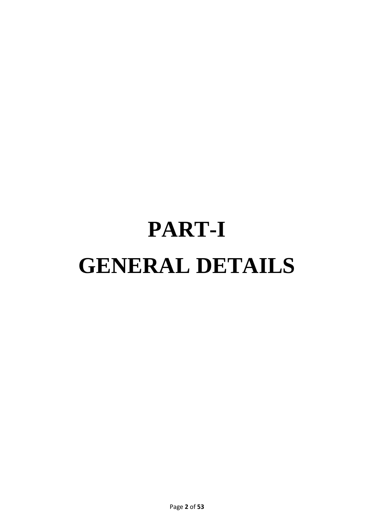# **PART-I GENERAL DETAILS**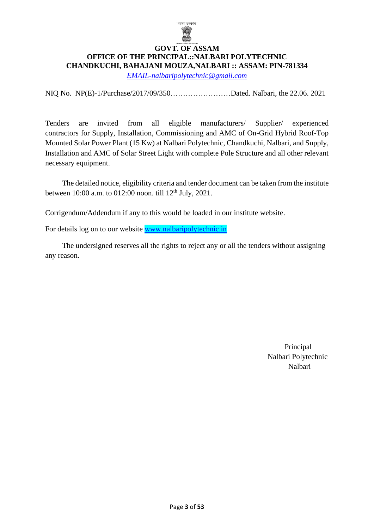

#### **GOVT. OF ASSAM OFFICE OF THE PRINCIPAL::NALBARI POLYTECHNIC CHANDKUCHI, BAHAJANI MOUZA,NALBARI :: ASSAM: PIN-781334**

*[EMAIL-nalbaripolytechnic@gmail.com](mailto:EMAIL-nalbaripolytechnic@gmail.com)*

NIQ No. NP(E)-1/Purchase/2017/09/350……………………Dated. Nalbari, the 22.06. 2021

Tenders are invited from all eligible manufacturers/ Supplier/ experienced contractors for Supply, Installation, Commissioning and AMC of On-Grid Hybrid Roof-Top Mounted Solar Power Plant (15 Kw) at Nalbari Polytechnic, Chandkuchi, Nalbari, and Supply, Installation and AMC of Solar Street Light with complete Pole Structure and all other relevant necessary equipment.

 The detailed notice, eligibility criteria and tender document can be taken from the institute between 10:00 a.m. to 012:00 noon. till 12<sup>th</sup> July, 2021.

Corrigendum/Addendum if any to this would be loaded in our institute website.

For details log on to our website [www.nalbaripolytechnic.in](http://www.nalbaripolytechnic.in/)

 The undersigned reserves all the rights to reject any or all the tenders without assigning any reason.

> Principal Nalbari Polytechnic Nalbari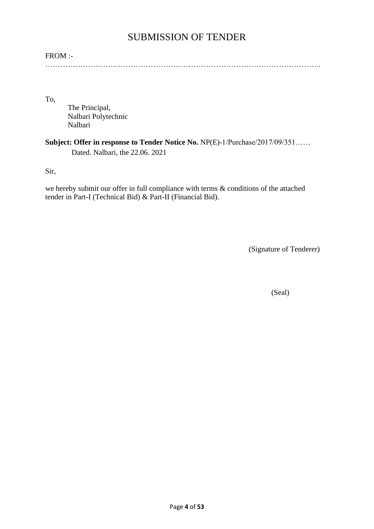# SUBMISSION OF TENDER

#### FROM :-

………………………………………………………………………………………………..

To,

The Principal, Nalbari Polytechnic Nalbari

#### **Subject: Offer in response to Tender Notice No.** NP(E)-1/Purchase/2017/09/351…… Dated. Nalbari, the 22.06. 2021

Sir,

we hereby submit our offer in full compliance with terms & conditions of the attached tender in Part-I (Technical Bid) & Part-II (Financial Bid).

(Signature of Tenderer)

(Seal)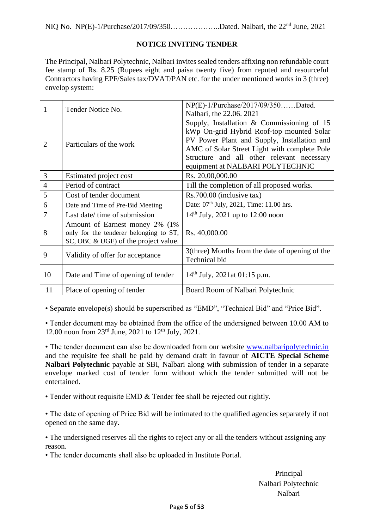NIQ No.NP(E)-1/Purchase/2017/09/350………………..Dated. Nalbari, the 22nd June, 2021

#### **NOTICE INVITING TENDER**

The Principal, Nalbari Polytechnic, Nalbari invites sealed tenders affixing non refundable court fee stamp of Rs. 8.25 (Rupees eight and paisa twenty five) from reputed and resourceful Contractors having EPF/Sales tax/DVAT/PAN etc. for the under mentioned works in 3 (three) envelop system:

| 1              | Tender Notice No.                      | NP(E)-1/Purchase/2017/09/350Dated.                  |  |
|----------------|----------------------------------------|-----------------------------------------------------|--|
|                |                                        | Nalbari, the 22.06. 2021                            |  |
|                |                                        | Supply, Installation $&$ Commissioning of 15        |  |
|                | Particulars of the work                | kWp On-grid Hybrid Roof-top mounted Solar           |  |
| $\overline{2}$ |                                        | PV Power Plant and Supply, Installation and         |  |
|                |                                        | AMC of Solar Street Light with complete Pole        |  |
|                |                                        | Structure and all other relevant necessary          |  |
|                |                                        | equipment at NALBARI POLYTECHNIC                    |  |
| 3              | Estimated project cost                 | Rs. 20,00,000.00                                    |  |
| $\overline{4}$ | Period of contract                     | Till the completion of all proposed works.          |  |
| 5              | Cost of tender document                | Rs.700.00 (inclusive tax)                           |  |
| 6              | Date and Time of Pre-Bid Meeting       | Date: 07 <sup>th</sup> July, 2021, Time: 11.00 hrs. |  |
| 7              | Last date/ time of submission          | $14th$ July, 2021 up to 12:00 noon                  |  |
|                | Amount of Earnest money 2% (1%)        |                                                     |  |
| 8              | only for the tenderer belonging to ST, | Rs. 40,000.00                                       |  |
|                | SC, OBC & UGE) of the project value.   |                                                     |  |
| 9              | Validity of offer for acceptance       | 3(three) Months from the date of opening of the     |  |
|                |                                        | Technical bid                                       |  |
| 10             |                                        |                                                     |  |
|                | Date and Time of opening of tender     | $14th$ July, 2021at 01:15 p.m.                      |  |
| 11             | Place of opening of tender             | Board Room of Nalbari Polytechnic                   |  |

• Separate envelope(s) should be superscribed as "EMD", "Technical Bid" and "Price Bid".

• Tender document may be obtained from the office of the undersigned between 10.00 AM to 12.00 noon from  $23^{\text{rd}}$  June,  $2021$  to  $12^{\text{th}}$  July,  $2021$ .

• The tender document can also be downloaded from our website [www.nalbarip](http://www.nalbari/)olytechnic.in and the requisite fee shall be paid by demand draft in favour of **AICTE Special Scheme Nalbari Polytechnic** payable at SBI, Nalbari along with submission of tender in a separate envelope marked cost of tender form without which the tender submitted will not be entertained.

• Tender without requisite EMD & Tender fee shall be rejected out rightly.

• The date of opening of Price Bid will be intimated to the qualified agencies separately if not opened on the same day.

• The undersigned reserves all the rights to reject any or all the tenders without assigning any reason.

• The tender documents shall also be uploaded in Institute Portal.

Principal Nalbari Polytechnic Nalbari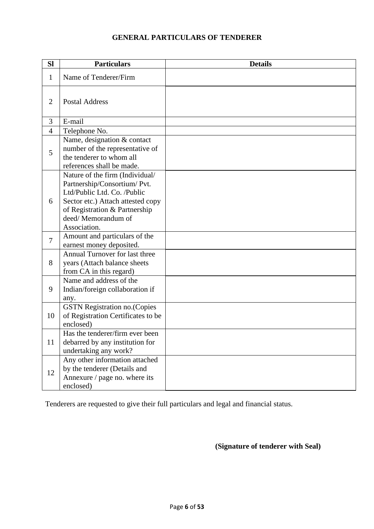#### **GENERAL PARTICULARS OF TENDERER**

| <b>Sl</b>      | <b>Particulars</b>                                                                                                                                                                                         | <b>Details</b> |
|----------------|------------------------------------------------------------------------------------------------------------------------------------------------------------------------------------------------------------|----------------|
| $\mathbf{1}$   | Name of Tenderer/Firm                                                                                                                                                                                      |                |
| $\overline{2}$ | <b>Postal Address</b>                                                                                                                                                                                      |                |
| 3              | E-mail                                                                                                                                                                                                     |                |
| $\overline{4}$ | Telephone No.                                                                                                                                                                                              |                |
| 5              | Name, designation & contact<br>number of the representative of<br>the tenderer to whom all<br>references shall be made.                                                                                    |                |
| 6              | Nature of the firm (Individual/<br>Partnership/Consortium/ Pvt.<br>Ltd/Public Ltd. Co. /Public<br>Sector etc.) Attach attested copy<br>of Registration & Partnership<br>deed/Memorandum of<br>Association. |                |
| 7              | Amount and particulars of the<br>earnest money deposited.                                                                                                                                                  |                |
| 8              | Annual Turnover for last three<br>years (Attach balance sheets<br>from CA in this regard)                                                                                                                  |                |
| 9              | Name and address of the<br>Indian/foreign collaboration if<br>any.                                                                                                                                         |                |
| 10             | <b>GSTN Registration no. (Copies</b><br>of Registration Certificates to be<br>enclosed)                                                                                                                    |                |
| 11             | Has the tenderer/firm ever been<br>debarred by any institution for<br>undertaking any work?                                                                                                                |                |
| 12             | Any other information attached<br>by the tenderer (Details and<br>Annexure / page no. where its<br>enclosed)                                                                                               |                |

Tenderers are requested to give their full particulars and legal and financial status.

**(Signature of tenderer with Seal)**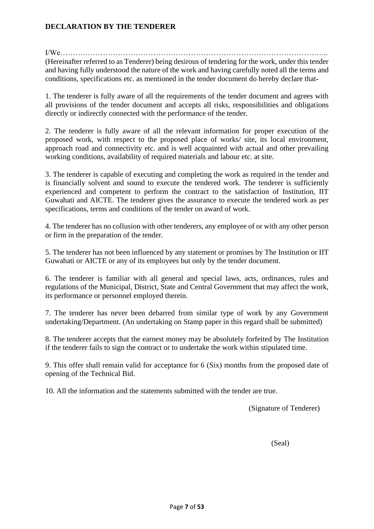#### **DECLARATION BY THE TENDERER**

 $I/We$ 

(Hereinafter referred to as Tenderer) being desirous of tendering for the work, under this tender and having fully understood the nature of the work and having carefully noted all the terms and conditions, specifications etc. as mentioned in the tender document do hereby declare that-

1. The tenderer is fully aware of all the requirements of the tender document and agrees with all provisions of the tender document and accepts all risks, responsibilities and obligations directly or indirectly connected with the performance of the tender.

2. The tenderer is fully aware of all the relevant information for proper execution of the proposed work, with respect to the proposed place of works/ site, its local environment, approach road and connectivity etc. and is well acquainted with actual and other prevailing working conditions, availability of required materials and labour etc. at site.

3. The tenderer is capable of executing and completing the work as required in the tender and is financially solvent and sound to execute the tendered work. The tenderer is sufficiently experienced and competent to perform the contract to the satisfaction of Institution, IIT Guwahati and AICTE. The tenderer gives the assurance to execute the tendered work as per specifications, terms and conditions of the tender on award of work.

4. The tenderer has no collusion with other tenderers, any employee of or with any other person or firm in the preparation of the tender.

5. The tenderer has not been influenced by any statement or promises by The Institution or IIT Guwahati or AICTE or any of its employees but only by the tender document.

6. The tenderer is familiar with all general and special laws, acts, ordinances, rules and regulations of the Municipal, District, State and Central Government that may affect the work, its performance or personnel employed therein.

7. The tenderer has never been debarred from similar type of work by any Government undertaking/Department. (An undertaking on Stamp paper in this regard shall be submitted)

8. The tenderer accepts that the earnest money may be absolutely forfeited by The Institution if the tenderer fails to sign the contract or to undertake the work within stipulated time.

9. This offer shall remain valid for acceptance for 6 (Six) months from the proposed date of opening of the Technical Bid.

10. All the information and the statements submitted with the tender are true.

(Signature of Tenderer)

(Seal)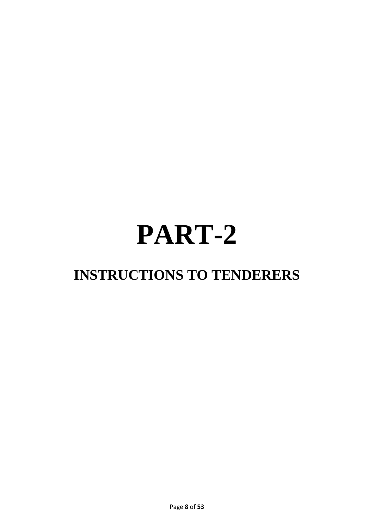# **PART-2**

# **INSTRUCTIONS TO TENDERERS**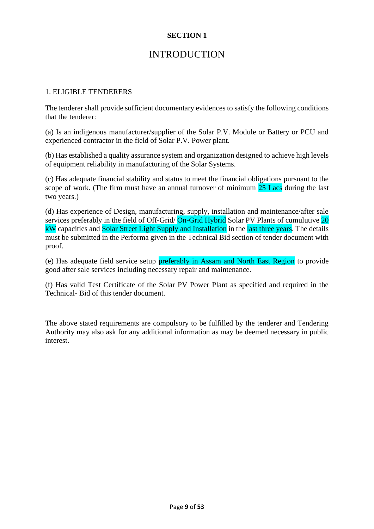## **INTRODUCTION**

#### 1. ELIGIBLE TENDERERS

The tenderer shall provide sufficient documentary evidences to satisfy the following conditions that the tenderer:

(a) Is an indigenous manufacturer/supplier of the Solar P.V. Module or Battery or PCU and experienced contractor in the field of Solar P.V. Power plant.

(b) Has established a quality assurance system and organization designed to achieve high levels of equipment reliability in manufacturing of the Solar Systems.

(c) Has adequate financial stability and status to meet the financial obligations pursuant to the scope of work. (The firm must have an annual turnover of minimum 25 Lacs during the last two years.)

(d) Has experience of Design, manufacturing, supply, installation and maintenance/after sale services preferably in the field of Off-Grid/ On-Grid Hybrid Solar PV Plants of cumulutive 20 kW capacities and Solar Street Light Supply and Installation in the last three years. The details must be submitted in the Performa given in the Technical Bid section of tender document with proof.

(e) Has adequate field service setup preferably in Assam and North East Region to provide good after sale services including necessary repair and maintenance.

(f) Has valid Test Certificate of the Solar PV Power Plant as specified and required in the Technical- Bid of this tender document.

The above stated requirements are compulsory to be fulfilled by the tenderer and Tendering Authority may also ask for any additional information as may be deemed necessary in public interest.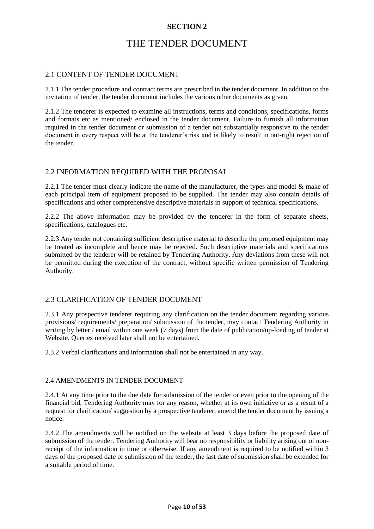# THE TENDER DOCUMENT

#### 2.1 CONTENT OF TENDER DOCUMENT

2.1.1 The tender procedure and contract terms are prescribed in the tender document. In addition to the invitation of tender, the tender document includes the various other documents as given.

2.1.2 The tenderer is expected to examine all instructions, terms and conditions, specifications, forms and formats etc as mentioned/ enclosed in the tender document. Failure to furnish all information required in the tender document or submission of a tender not substantially responsive to the tender document in every respect will be at the tenderer's risk and is likely to result in out-right rejection of the tender.

#### 2.2 INFORMATION REQUIRED WITH THE PROPOSAL

2.2.1 The tender must clearly indicate the name of the manufacturer, the types and model & make of each principal item of equipment proposed to be supplied. The tender may also contain details of specifications and other comprehensive descriptive materials in support of technical specifications.

2.2.2 The above information may be provided by the tenderer in the form of separate sheets, specifications, catalogues etc.

2.2.3 Any tender not containing sufficient descriptive material to describe the proposed equipment may be treated as incomplete and hence may be rejected. Such descriptive materials and specifications submitted by the tenderer will be retained by Tendering Authority. Any deviations from these will not be permitted during the execution of the contract, without specific written permission of Tendering Authority.

#### 2.3 CLARIFICATION OF TENDER DOCUMENT

2.3.1 Any prospective tenderer requiring any clarification on the tender document regarding various provisions/ requirements/ preparation/ submission of the tender, may contact Tendering Authority in writing by letter / email within one week (7 days) from the date of publication/up-loading of tender at Website. Queries received later shall not be entertained.

2.3.2 Verbal clarifications and information shall not be entertained in any way.

#### 2.4 AMENDMENTS IN TENDER DOCUMENT

2.4.1 At any time prior to the due date for submission of the tender or even prior to the opening of the financial bid, Tendering Authority may for any reason, whether at its own initiative or as a result of a request for clarification/ suggestion by a prospective tenderer, amend the tender document by issuing a notice.

2.4.2 The amendments will be notified on the website at least 3 days before the proposed date of submission of the tender. Tendering Authority will bear no responsibility or liability arising out of nonreceipt of the information in time or otherwise. If any amendment is required to be notified within 3 days of the proposed date of submission of the tender, the last date of submission shall be extended for a suitable period of time.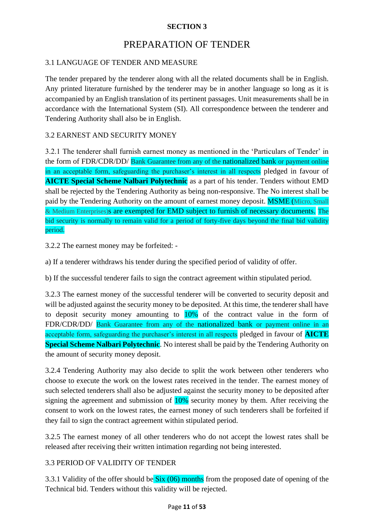# PREPARATION OF TENDER

#### 3.1 LANGUAGE OF TENDER AND MEASURE

The tender prepared by the tenderer along with all the related documents shall be in English. Any printed literature furnished by the tenderer may be in another language so long as it is accompanied by an English translation of its pertinent passages. Unit measurements shall be in accordance with the International System (SI). All correspondence between the tenderer and Tendering Authority shall also be in English.

#### 3.2 EARNEST AND SECURITY MONEY

3.2.1 The tenderer shall furnish earnest money as mentioned in the 'Particulars of Tender' in the form of FDR/CDR/DD/ Bank Guarantee from any of the nationalized bank or payment online in an acceptable form, safeguarding the purchaser's interest in all respects pledged in favour of **AICTE Special Scheme Nalbari Polytechnic** as a part of his tender. Tenders without EMD shall be rejected by the Tendering Authority as being non-responsive. The No interest shall be paid by the Tendering Authority on the amount of earnest money deposit. **MSME** (Micro, Small & Medium Enterprises)s are exempted for EMD subject to furnish of necessary documents. The bid security is normally to remain valid for a period of forty-five days beyond the final bid validity period.

3.2.2 The earnest money may be forfeited: -

a) If a tenderer withdraws his tender during the specified period of validity of offer.

b) If the successful tenderer fails to sign the contract agreement within stipulated period.

3.2.3 The earnest money of the successful tenderer will be converted to security deposit and will be adjusted against the security money to be deposited. At this time, the tenderer shall have to deposit security money amounting to 10% of the contract value in the form of FDR/CDR/DD/ Bank Guarantee from any of the nationalized bank or payment online in an acceptable form, safeguarding the purchaser's interest in all respects pledged in favour of **AICTE Special Scheme Nalbari Polytechnic**. No interest shall be paid by the Tendering Authority on the amount of security money deposit.

3.2.4 Tendering Authority may also decide to split the work between other tenderers who choose to execute the work on the lowest rates received in the tender. The earnest money of such selected tenderers shall also be adjusted against the security money to be deposited after signing the agreement and submission of 10% security money by them. After receiving the consent to work on the lowest rates, the earnest money of such tenderers shall be forfeited if they fail to sign the contract agreement within stipulated period.

3.2.5 The earnest money of all other tenderers who do not accept the lowest rates shall be released after receiving their written intimation regarding not being interested.

#### 3.3 PERIOD OF VALIDITY OF TENDER

3.3.1 Validity of the offer should be  $\frac{\text{Six } (06)}{\text{ months}}$  from the proposed date of opening of the Technical bid. Tenders without this validity will be rejected.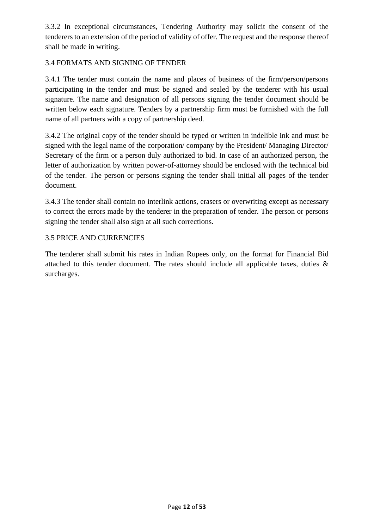3.3.2 In exceptional circumstances, Tendering Authority may solicit the consent of the tenderers to an extension of the period of validity of offer. The request and the response thereof shall be made in writing.

#### 3.4 FORMATS AND SIGNING OF TENDER

3.4.1 The tender must contain the name and places of business of the firm/person/persons participating in the tender and must be signed and sealed by the tenderer with his usual signature. The name and designation of all persons signing the tender document should be written below each signature. Tenders by a partnership firm must be furnished with the full name of all partners with a copy of partnership deed.

3.4.2 The original copy of the tender should be typed or written in indelible ink and must be signed with the legal name of the corporation/ company by the President/ Managing Director/ Secretary of the firm or a person duly authorized to bid. In case of an authorized person, the letter of authorization by written power-of-attorney should be enclosed with the technical bid of the tender. The person or persons signing the tender shall initial all pages of the tender document.

3.4.3 The tender shall contain no interlink actions, erasers or overwriting except as necessary to correct the errors made by the tenderer in the preparation of tender. The person or persons signing the tender shall also sign at all such corrections.

#### 3.5 PRICE AND CURRENCIES

The tenderer shall submit his rates in Indian Rupees only, on the format for Financial Bid attached to this tender document. The rates should include all applicable taxes, duties & surcharges.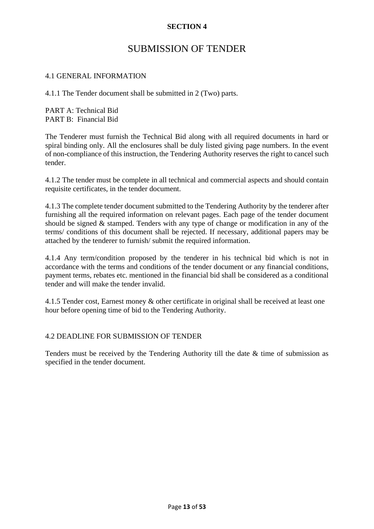## SUBMISSION OF TENDER

#### 4.1 GENERAL INFORMATION

4.1.1 The Tender document shall be submitted in 2 (Two) parts.

PART A: Technical Bid PART B: Financial Bid

The Tenderer must furnish the Technical Bid along with all required documents in hard or spiral binding only. All the enclosures shall be duly listed giving page numbers. In the event of non-compliance of this instruction, the Tendering Authority reserves the right to cancel such tender.

4.1.2 The tender must be complete in all technical and commercial aspects and should contain requisite certificates, in the tender document.

4.1.3 The complete tender document submitted to the Tendering Authority by the tenderer after furnishing all the required information on relevant pages. Each page of the tender document should be signed & stamped. Tenders with any type of change or modification in any of the terms/ conditions of this document shall be rejected. If necessary, additional papers may be attached by the tenderer to furnish/ submit the required information.

4.1.4 Any term/condition proposed by the tenderer in his technical bid which is not in accordance with the terms and conditions of the tender document or any financial conditions, payment terms, rebates etc. mentioned in the financial bid shall be considered as a conditional tender and will make the tender invalid.

4.1.5 Tender cost, Earnest money & other certificate in original shall be received at least one hour before opening time of bid to the Tendering Authority.

#### 4.2 DEADLINE FOR SUBMISSION OF TENDER

Tenders must be received by the Tendering Authority till the date & time of submission as specified in the tender document.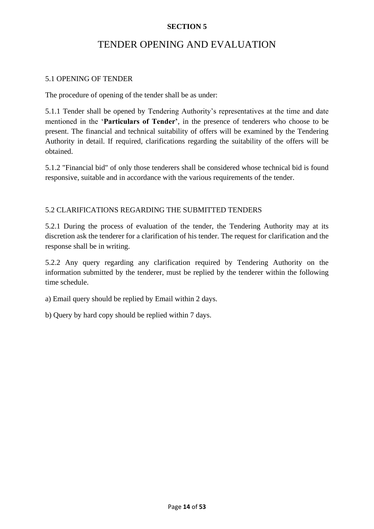# TENDER OPENING AND EVALUATION

#### 5.1 OPENING OF TENDER

The procedure of opening of the tender shall be as under:

5.1.1 Tender shall be opened by Tendering Authority's representatives at the time and date mentioned in the '**Particulars of Tender'**, in the presence of tenderers who choose to be present. The financial and technical suitability of offers will be examined by the Tendering Authority in detail. If required, clarifications regarding the suitability of the offers will be obtained.

5.1.2 "Financial bid" of only those tenderers shall be considered whose technical bid is found responsive, suitable and in accordance with the various requirements of the tender.

#### 5.2 CLARIFICATIONS REGARDING THE SUBMITTED TENDERS

5.2.1 During the process of evaluation of the tender, the Tendering Authority may at its discretion ask the tenderer for a clarification of his tender. The request for clarification and the response shall be in writing.

5.2.2 Any query regarding any clarification required by Tendering Authority on the information submitted by the tenderer, must be replied by the tenderer within the following time schedule.

a) Email query should be replied by Email within 2 days.

b) Query by hard copy should be replied within 7 days.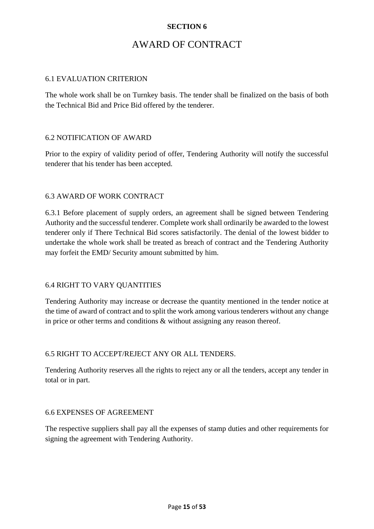# AWARD OF CONTRACT

#### 6.1 EVALUATION CRITERION

The whole work shall be on Turnkey basis. The tender shall be finalized on the basis of both the Technical Bid and Price Bid offered by the tenderer.

#### 6.2 NOTIFICATION OF AWARD

Prior to the expiry of validity period of offer, Tendering Authority will notify the successful tenderer that his tender has been accepted.

#### 6.3 AWARD OF WORK CONTRACT

6.3.1 Before placement of supply orders, an agreement shall be signed between Tendering Authority and the successful tenderer. Complete work shall ordinarily be awarded to the lowest tenderer only if There Technical Bid scores satisfactorily. The denial of the lowest bidder to undertake the whole work shall be treated as breach of contract and the Tendering Authority may forfeit the EMD/ Security amount submitted by him.

#### 6.4 RIGHT TO VARY QUANTITIES

Tendering Authority may increase or decrease the quantity mentioned in the tender notice at the time of award of contract and to split the work among various tenderers without any change in price or other terms and conditions & without assigning any reason thereof.

#### 6.5 RIGHT TO ACCEPT/REJECT ANY OR ALL TENDERS.

Tendering Authority reserves all the rights to reject any or all the tenders, accept any tender in total or in part.

#### 6.6 EXPENSES OF AGREEMENT

The respective suppliers shall pay all the expenses of stamp duties and other requirements for signing the agreement with Tendering Authority.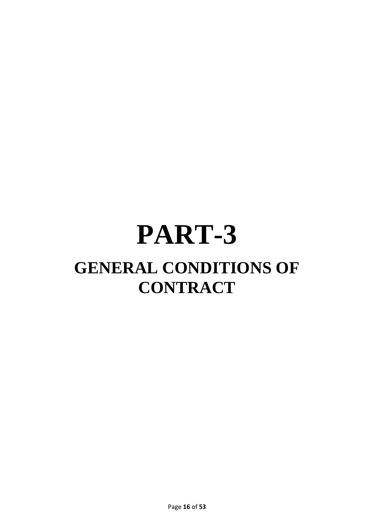# **PART-3 GENERAL CONDITIONS OF CONTRACT**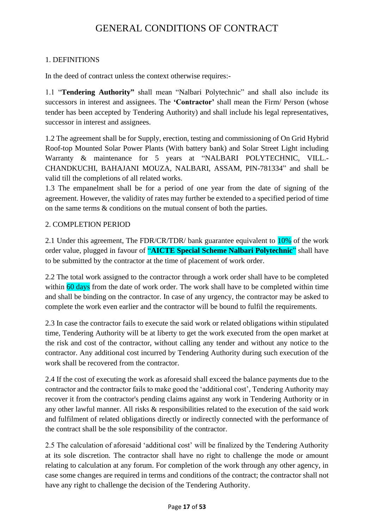# GENERAL CONDITIONS OF CONTRACT

#### 1. DEFINITIONS

In the deed of contract unless the context otherwise requires:-

1.1 "**Tendering Authority"** shall mean "Nalbari Polytechnic" and shall also include its successors in interest and assignees. The **'Contractor'** shall mean the Firm/ Person (whose tender has been accepted by Tendering Authority) and shall include his legal representatives, successor in interest and assignees.

1.2 The agreement shall be for Supply, erection, testing and commissioning of On Grid Hybrid Roof-top Mounted Solar Power Plants (With battery bank) and Solar Street Light including Warranty & maintenance for 5 years at "NALBARI POLYTECHNIC, VILL.- CHANDKUCHI, BAHAJANI MOUZA, NALBARI, ASSAM, PIN-781334" and shall be valid till the completions of all related works.

1.3 The empanelment shall be for a period of one year from the date of signing of the agreement. However, the validity of rates may further be extended to a specified period of time on the same terms & conditions on the mutual consent of both the parties.

#### 2. COMPLETION PERIOD

2.1 Under this agreement, The FDR/CR/TDR/ bank guarantee equivalent to 10% of the work order value, plugged in favour of "**AICTE Special Scheme Nalbari Polytechnic**" shall have to be submitted by the contractor at the time of placement of work order.

2.2 The total work assigned to the contractor through a work order shall have to be completed within 60 days from the date of work order. The work shall have to be completed within time and shall be binding on the contractor. In case of any urgency, the contractor may be asked to complete the work even earlier and the contractor will be bound to fulfil the requirements.

2.3 In case the contractor fails to execute the said work or related obligations within stipulated time, Tendering Authority will be at liberty to get the work executed from the open market at the risk and cost of the contractor, without calling any tender and without any notice to the contractor. Any additional cost incurred by Tendering Authority during such execution of the work shall be recovered from the contractor.

2.4 If the cost of executing the work as aforesaid shall exceed the balance payments due to the contractor and the contractor fails to make good the 'additional cost', Tendering Authority may recover it from the contractor's pending claims against any work in Tendering Authority or in any other lawful manner. All risks & responsibilities related to the execution of the said work and fulfilment of related obligations directly or indirectly connected with the performance of the contract shall be the sole responsibility of the contractor.

2.5 The calculation of aforesaid 'additional cost' will be finalized by the Tendering Authority at its sole discretion. The contractor shall have no right to challenge the mode or amount relating to calculation at any forum. For completion of the work through any other agency, in case some changes are required in terms and conditions of the contract; the contractor shall not have any right to challenge the decision of the Tendering Authority.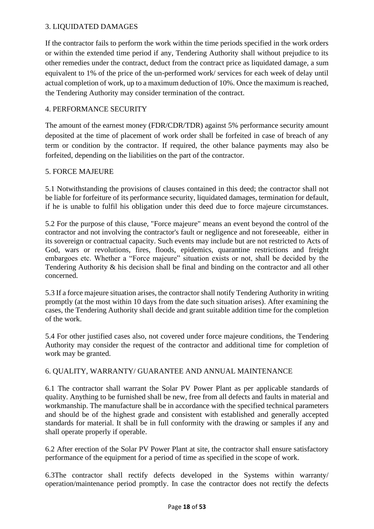#### 3. LIQUIDATED DAMAGES

If the contractor fails to perform the work within the time periods specified in the work orders or within the extended time period if any, Tendering Authority shall without prejudice to its other remedies under the contract, deduct from the contract price as liquidated damage, a sum equivalent to 1% of the price of the un-performed work/ services for each week of delay until actual completion of work, up to a maximum deduction of 10%. Once the maximum is reached, the Tendering Authority may consider termination of the contract.

#### 4. PERFORMANCE SECURITY

The amount of the earnest money (FDR/CDR/TDR) against 5% performance security amount deposited at the time of placement of work order shall be forfeited in case of breach of any term or condition by the contractor. If required, the other balance payments may also be forfeited, depending on the liabilities on the part of the contractor.

#### 5. FORCE MAJEURE

5.1 Notwithstanding the provisions of clauses contained in this deed; the contractor shall not be liable for forfeiture of its performance security, liquidated damages, termination for default, if he is unable to fulfil his obligation under this deed due to force majeure circumstances.

5.2 For the purpose of this clause, "Force majeure" means an event beyond the control of the contractor and not involving the contractor's fault or negligence and not foreseeable, either in its sovereign or contractual capacity. Such events may include but are not restricted to Acts of God, wars or revolutions, fires, floods, epidemics, quarantine restrictions and freight embargoes etc. Whether a "Force majeure" situation exists or not, shall be decided by the Tendering Authority & his decision shall be final and binding on the contractor and all other concerned.

5.3 If a force majeure situation arises, the contractor shall notify Tendering Authority in writing promptly (at the most within 10 days from the date such situation arises). After examining the cases, the Tendering Authority shall decide and grant suitable addition time for the completion of the work.

5.4 For other justified cases also, not covered under force majeure conditions, the Tendering Authority may consider the request of the contractor and additional time for completion of work may be granted.

#### 6. QUALITY, WARRANTY/ GUARANTEE AND ANNUAL MAINTENANCE

6.1 The contractor shall warrant the Solar PV Power Plant as per applicable standards of quality. Anything to be furnished shall be new, free from all defects and faults in material and workmanship. The manufacture shall be in accordance with the specified technical parameters and should be of the highest grade and consistent with established and generally accepted standards for material. It shall be in full conformity with the drawing or samples if any and shall operate properly if operable.

6.2 After erection of the Solar PV Power Plant at site, the contractor shall ensure satisfactory performance of the equipment for a period of time as specified in the scope of work.

6.3The contractor shall rectify defects developed in the Systems within warranty/ operation/maintenance period promptly. In case the contractor does not rectify the defects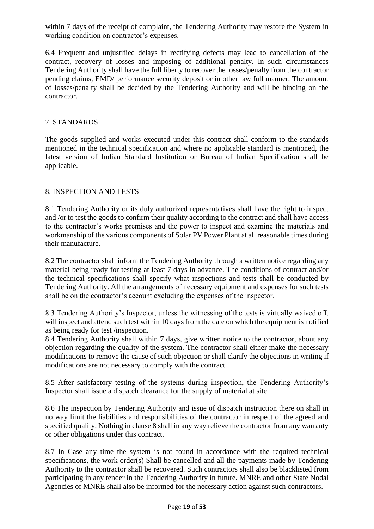within 7 days of the receipt of complaint, the Tendering Authority may restore the System in working condition on contractor's expenses.

6.4 Frequent and unjustified delays in rectifying defects may lead to cancellation of the contract, recovery of losses and imposing of additional penalty. In such circumstances Tendering Authority shall have the full liberty to recover the losses/penalty from the contractor pending claims, EMD/ performance security deposit or in other law full manner. The amount of losses/penalty shall be decided by the Tendering Authority and will be binding on the contractor.

#### 7. STANDARDS

The goods supplied and works executed under this contract shall conform to the standards mentioned in the technical specification and where no applicable standard is mentioned, the latest version of Indian Standard Institution or Bureau of Indian Specification shall be applicable.

#### 8. INSPECTION AND TESTS

8.1 Tendering Authority or its duly authorized representatives shall have the right to inspect and /or to test the goods to confirm their quality according to the contract and shall have access to the contractor's works premises and the power to inspect and examine the materials and workmanship of the various components of Solar PV Power Plant at all reasonable times during their manufacture.

8.2 The contractor shall inform the Tendering Authority through a written notice regarding any material being ready for testing at least 7 days in advance. The conditions of contract and/or the technical specifications shall specify what inspections and tests shall be conducted by Tendering Authority. All the arrangements of necessary equipment and expenses for such tests shall be on the contractor's account excluding the expenses of the inspector.

8.3 Tendering Authority's Inspector, unless the witnessing of the tests is virtually waived off, will inspect and attend such test within 10 days from the date on which the equipment is notified as being ready for test /inspection.

8.4 Tendering Authority shall within 7 days, give written notice to the contractor, about any objection regarding the quality of the system. The contractor shall either make the necessary modifications to remove the cause of such objection or shall clarify the objections in writing if modifications are not necessary to comply with the contract.

8.5 After satisfactory testing of the systems during inspection, the Tendering Authority's Inspector shall issue a dispatch clearance for the supply of material at site.

8.6 The inspection by Tendering Authority and issue of dispatch instruction there on shall in no way limit the liabilities and responsibilities of the contractor in respect of the agreed and specified quality. Nothing in clause 8 shall in any way relieve the contractor from any warranty or other obligations under this contract.

8.7 In Case any time the system is not found in accordance with the required technical specifications, the work order(s) Shall be cancelled and all the payments made by Tendering Authority to the contractor shall be recovered. Such contractors shall also be blacklisted from participating in any tender in the Tendering Authority in future. MNRE and other State Nodal Agencies of MNRE shall also be informed for the necessary action against such contractors.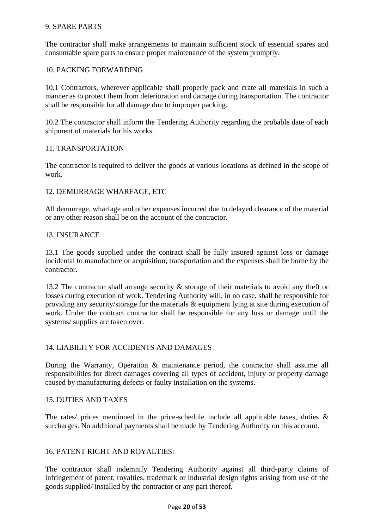#### 9. SPARE PARTS

The contractor shall make arrangements to maintain sufficient stock of essential spares and consumable spare parts to ensure proper maintenance of the system promptly.

#### 10. PACKING FORWARDING

10.1 Contractors, wherever applicable shall properly pack and crate all materials in such a manner as to protect them from deterioration and damage during transportation. The contractor shall be responsible for all damage due to improper packing.

10.2 The contractor shall inform the Tendering Authority regarding the probable date of each shipment of materials for his works.

#### 11. TRANSPORTATION

The contractor is required to deliver the goods at various locations as defined in the scope of work.

#### 12. DEMURRAGE WHARFAGE, ETC

All demurrage, wharfage and other expenses incurred due to delayed clearance of the material or any other reason shall be on the account of the contractor.

#### 13. INSURANCE

13.1 The goods supplied under the contract shall be fully insured against loss or damage incidental to manufacture or acquisition; transportation and the expenses shall be borne by the contractor.

13.2 The contractor shall arrange security & storage of their materials to avoid any theft or losses during execution of work. Tendering Authority will, in no case, shall be responsible for providing any security/storage for the materials & equipment lying at site during execution of work. Under the contract contractor shall be responsible for any loss or damage until the systems/ supplies are taken over.

#### 14. LIABILITY FOR ACCIDENTS AND DAMAGES

During the Warranty, Operation & maintenance period, the contractor shall assume all responsibilities for direct damages covering all types of accident, injury or property damage caused by manufacturing defects or faulty installation on the systems.

#### 15. DUTIES AND TAXES

The rates/ prices mentioned in the price-schedule include all applicable taxes, duties  $\&$ surcharges. No additional payments shall be made by Tendering Authority on this account.

#### 16. PATENT RIGHT AND ROYALTIES:

The contractor shall indemnify Tendering Authority against all third-party claims of infringement of patent, royalties, trademark or industrial design rights arising from use of the goods supplied/ installed by the contractor or any part thereof.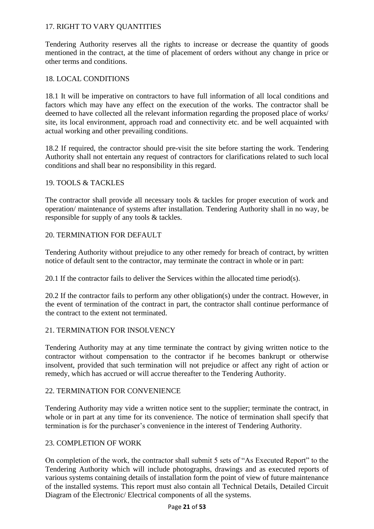#### 17. RIGHT TO VARY QUANTITIES

Tendering Authority reserves all the rights to increase or decrease the quantity of goods mentioned in the contract, at the time of placement of orders without any change in price or other terms and conditions.

#### 18. LOCAL CONDITIONS

18.1 It will be imperative on contractors to have full information of all local conditions and factors which may have any effect on the execution of the works. The contractor shall be deemed to have collected all the relevant information regarding the proposed place of works/ site, its local environment, approach road and connectivity etc. and be well acquainted with actual working and other prevailing conditions.

18.2 If required, the contractor should pre-visit the site before starting the work. Tendering Authority shall not entertain any request of contractors for clarifications related to such local conditions and shall bear no responsibility in this regard.

#### 19. TOOLS & TACKLES

The contractor shall provide all necessary tools & tackles for proper execution of work and operation/ maintenance of systems after installation. Tendering Authority shall in no way, be responsible for supply of any tools & tackles.

#### 20. TERMINATION FOR DEFAULT

Tendering Authority without prejudice to any other remedy for breach of contract, by written notice of default sent to the contractor, may terminate the contract in whole or in part:

20.1 If the contractor fails to deliver the Services within the allocated time period(s).

20.2 If the contractor fails to perform any other obligation(s) under the contract. However, in the event of termination of the contract in part, the contractor shall continue performance of the contract to the extent not terminated.

#### 21. TERMINATION FOR INSOLVENCY

Tendering Authority may at any time terminate the contract by giving written notice to the contractor without compensation to the contractor if he becomes bankrupt or otherwise insolvent, provided that such termination will not prejudice or affect any right of action or remedy, which has accrued or will accrue thereafter to the Tendering Authority.

#### 22. TERMINATION FOR CONVENIENCE

Tendering Authority may vide a written notice sent to the supplier; terminate the contract, in whole or in part at any time for its convenience. The notice of termination shall specify that termination is for the purchaser's convenience in the interest of Tendering Authority.

#### 23. COMPLETION OF WORK

On completion of the work, the contractor shall submit 5 sets of "As Executed Report" to the Tendering Authority which will include photographs, drawings and as executed reports of various systems containing details of installation form the point of view of future maintenance of the installed systems. This report must also contain all Technical Details, Detailed Circuit Diagram of the Electronic/ Electrical components of all the systems.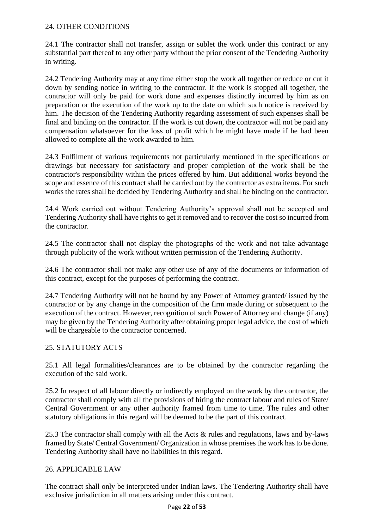#### 24. OTHER CONDITIONS

24.1 The contractor shall not transfer, assign or sublet the work under this contract or any substantial part thereof to any other party without the prior consent of the Tendering Authority in writing.

24.2 Tendering Authority may at any time either stop the work all together or reduce or cut it down by sending notice in writing to the contractor. If the work is stopped all together, the contractor will only be paid for work done and expenses distinctly incurred by him as on preparation or the execution of the work up to the date on which such notice is received by him. The decision of the Tendering Authority regarding assessment of such expenses shall be final and binding on the contractor. If the work is cut down, the contractor will not be paid any compensation whatsoever for the loss of profit which he might have made if he had been allowed to complete all the work awarded to him.

24.3 Fulfilment of various requirements not particularly mentioned in the specifications or drawings but necessary for satisfactory and proper completion of the work shall be the contractor's responsibility within the prices offered by him. But additional works beyond the scope and essence of this contract shall be carried out by the contractor as extra items. For such works the rates shall be decided by Tendering Authority and shall be binding on the contractor.

24.4 Work carried out without Tendering Authority's approval shall not be accepted and Tendering Authority shall have rights to get it removed and to recover the cost so incurred from the contractor.

24.5 The contractor shall not display the photographs of the work and not take advantage through publicity of the work without written permission of the Tendering Authority.

24.6 The contractor shall not make any other use of any of the documents or information of this contract, except for the purposes of performing the contract.

24.7 Tendering Authority will not be bound by any Power of Attorney granted/ issued by the contractor or by any change in the composition of the firm made during or subsequent to the execution of the contract. However, recognition of such Power of Attorney and change (if any) may be given by the Tendering Authority after obtaining proper legal advice, the cost of which will be chargeable to the contractor concerned.

#### 25. STATUTORY ACTS

25.1 All legal formalities/clearances are to be obtained by the contractor regarding the execution of the said work.

25.2 In respect of all labour directly or indirectly employed on the work by the contractor, the contractor shall comply with all the provisions of hiring the contract labour and rules of State/ Central Government or any other authority framed from time to time. The rules and other statutory obligations in this regard will be deemed to be the part of this contract.

25.3 The contractor shall comply with all the Acts & rules and regulations, laws and by-laws framed by State/ Central Government/ Organization in whose premises the work has to be done. Tendering Authority shall have no liabilities in this regard.

#### 26. APPLICABLE LAW

The contract shall only be interpreted under Indian laws. The Tendering Authority shall have exclusive jurisdiction in all matters arising under this contract.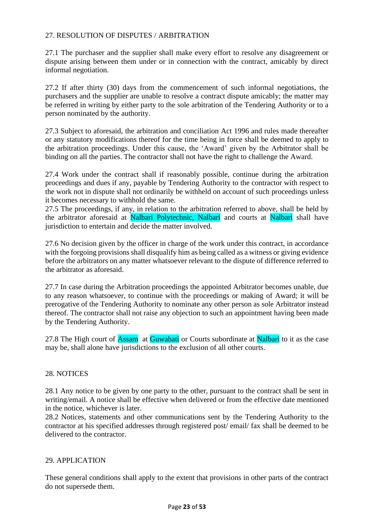#### 27. RESOLUTION OF DISPUTES / ARBITRATION

27.1 The purchaser and the supplier shall make every effort to resolve any disagreement or dispute arising between them under or in connection with the contract, amicably by direct informal negotiation.

27.2 If after thirty (30) days from the commencement of such informal negotiations, the purchasers and the supplier are unable to resolve a contract dispute amicably; the matter may be referred in writing by either party to the sole arbitration of the Tendering Authority or to a person nominated by the authority.

27.3 Subject to aforesaid, the arbitration and conciliation Act 1996 and rules made thereafter or any statutory modifications thereof for the time being in force shall be deemed to apply to the arbitration proceedings. Under this cause, the 'Award' given by the Arbitrator shall be binding on all the parties. The contractor shall not have the right to challenge the Award.

27.4 Work under the contract shall if reasonably possible, continue during the arbitration proceedings and dues if any, payable by Tendering Authority to the contractor with respect to the work not in dispute shall not ordinarily be withheld on account of such proceedings unless it becomes necessary to withhold the same.

27.5 The proceedings, if any, in relation to the arbitration referred to above, shall be held by the arbitrator aforesaid at Nalbari Polytechnic, Nalbari and courts at Nalbari shall have jurisdiction to entertain and decide the matter involved.

27.6 No decision given by the officer in charge of the work under this contract, in accordance with the forgoing provisions shall disqualify him as being called as a witness or giving evidence before the arbitrators on any matter whatsoever relevant to the dispute of difference referred to the arbitrator as aforesaid.

27.7 In case during the Arbitration proceedings the appointed Arbitrator becomes unable, due to any reason whatsoever, to continue with the proceedings or making of Award; it will be prerogative of the Tendering Authority to nominate any other person as sole Arbitrator instead thereof. The contractor shall not raise any objection to such an appointment having been made by the Tendering Authority.

27.8 The High court of **Assam** at **Guwahati** or Courts subordinate at **Nalbari** to it as the case may be, shall alone have jurisdictions to the exclusion of all other courts.

#### 28. NOTICES

28.1 Any notice to be given by one party to the other, pursuant to the contract shall be sent in writing/email. A notice shall be effective when delivered or from the effective date mentioned in the notice, whichever is later.

28.2 Notices, statements and other communications sent by the Tendering Authority to the contractor at his specified addresses through registered post/ email/ fax shall be deemed to be delivered to the contractor.

#### 29. APPLICATION

These general conditions shall apply to the extent that provisions in other parts of the contract do not supersede them.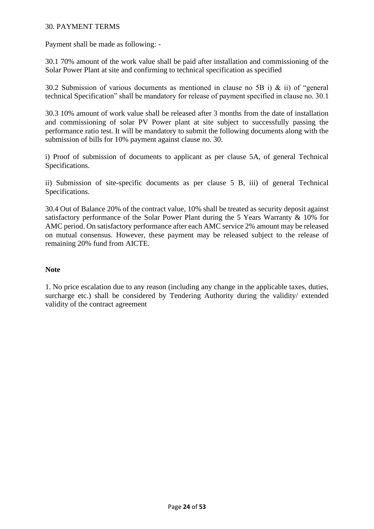#### 30. PAYMENT TERMS

Payment shall be made as following: -

30.1 70% amount of the work value shall be paid after installation and commissioning of the Solar Power Plant at site and confirming to technical specification as specified

30.2 Submission of various documents as mentioned in clause no 5B i) & ii) of "general technical Specification" shall be mandatory for release of payment specified in clause no. 30.1

30.3 10% amount of work value shall be released after 3 months from the date of installation and commissioning of solar PV Power plant at site subject to successfully passing the performance ratio test. It will be mandatory to submit the following documents along with the submission of bills for 10% payment against clause no. 30.

i) Proof of submission of documents to applicant as per clause 5A, of general Technical Specifications.

ii) Submission of site-specific documents as per clause 5 B, iii) of general Technical Specifications.

30.4 Out of Balance 20% of the contract value, 10% shall be treated as security deposit against satisfactory performance of the Solar Power Plant during the 5 Years Warranty & 10% for AMC period. On satisfactory performance after each AMC service 2% amount may be released on mutual consensus. However, these payment may be released subject to the release of remaining 20% fund from AICTE.

#### **Note**

1. No price escalation due to any reason (including any change in the applicable taxes, duties, surcharge etc.) shall be considered by Tendering Authority during the validity/ extended validity of the contract agreement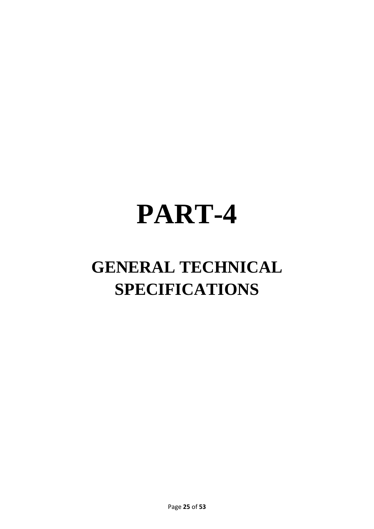# **PART-4**

# **GENERAL TECHNICAL SPECIFICATIONS**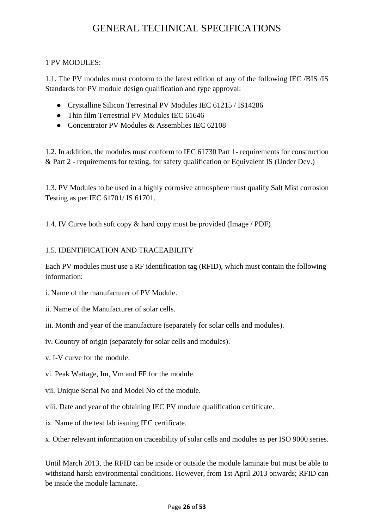# GENERAL TECHNICAL SPECIFICATIONS

#### 1 PV MODULES:

1.1. The PV modules must conform to the latest edition of any of the following IEC /BIS /IS Standards for PV module design qualification and type approval:

- Crystalline Silicon Terrestrial PV Modules IEC 61215 / IS14286
- Thin film Terrestrial PV Modules IEC 61646
- Concentrator PV Modules & Assemblies IEC 62108

1.2. In addition, the modules must conform to IEC 61730 Part 1- requirements for construction & Part 2 - requirements for testing, for safety qualification or Equivalent IS (Under Dev.)

1.3. PV Modules to be used in a highly corrosive atmosphere must qualify Salt Mist corrosion Testing as per IEC 61701/ IS 61701.

1.4. IV Curve both soft copy & hard copy must be provided (Image / PDF)

#### 1.5. IDENTIFICATION AND TRACEABILITY

Each PV modules must use a RF identification tag (RFID), which must contain the following information:

- i. Name of the manufacturer of PV Module.
- ii. Name of the Manufacturer of solar cells.
- iii. Month and year of the manufacture (separately for solar cells and modules).
- iv. Country of origin (separately for solar cells and modules).
- v. I-V curve for the module.
- vi. Peak Wattage, Im, Vm and FF for the module.
- vii. Unique Serial No and Model No of the module.
- viii. Date and year of the obtaining IEC PV module qualification certificate.
- ix. Name of the test lab issuing IEC certificate.

x. Other relevant information on traceability of solar cells and modules as per ISO 9000 series.

Until March 2013, the RFID can be inside or outside the module laminate but must be able to withstand harsh environmental conditions. However, from 1st April 2013 onwards; RFID can be inside the module laminate.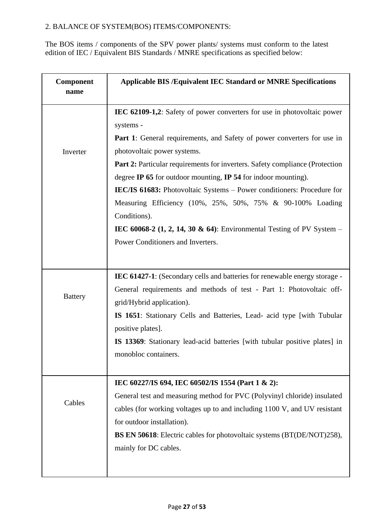#### 2. BALANCE OF SYSTEM(BOS) ITEMS/COMPONENTS:

The BOS items / components of the SPV power plants/ systems must conform to the latest edition of IEC / Equivalent BIS Standards / MNRE specifications as specified below:

| Component<br>name | <b>Applicable BIS /Equivalent IEC Standard or MNRE Specifications</b>                       |
|-------------------|---------------------------------------------------------------------------------------------|
|                   | IEC 62109-1,2: Safety of power converters for use in photovoltaic power                     |
|                   | systems -                                                                                   |
|                   | <b>Part 1:</b> General requirements, and Safety of power converters for use in              |
| Inverter          | photovoltaic power systems.                                                                 |
|                   | <b>Part 2:</b> Particular requirements for inverters. Safety compliance (Protection         |
|                   | degree IP 65 for outdoor mounting, IP 54 for indoor mounting).                              |
|                   | <b>IEC/IS 61683:</b> Photovoltaic Systems – Power conditioners: Procedure for               |
|                   | Measuring Efficiency (10%, 25%, 50%, 75% & 90-100% Loading                                  |
|                   | Conditions).                                                                                |
|                   | IEC 60068-2 $(1, 2, 14, 30 \& 64)$ : Environmental Testing of PV System –                   |
|                   | Power Conditioners and Inverters.                                                           |
|                   |                                                                                             |
|                   | <b>IEC 61427-1:</b> (Secondary cells and batteries for renewable energy storage -           |
|                   | General requirements and methods of test - Part 1: Photovoltaic off-                        |
| <b>Battery</b>    | grid/Hybrid application).                                                                   |
|                   | IS 1651: Stationary Cells and Batteries, Lead- acid type [with Tubular<br>positive plates]. |
|                   | IS 13369: Stationary lead-acid batteries [with tubular positive plates] in                  |
|                   | monobloc containers.                                                                        |
|                   |                                                                                             |
|                   | IEC 60227/IS 694, IEC 60502/IS 1554 (Part 1 & 2):                                           |
|                   | General test and measuring method for PVC (Polyvinyl chloride) insulated                    |
| Cables            | cables (for working voltages up to and including 1100 V, and UV resistant                   |
|                   | for outdoor installation).                                                                  |
|                   | <b>BS EN 50618:</b> Electric cables for photovoltaic systems (BT(DE/NOT)258),               |
|                   | mainly for DC cables.                                                                       |
|                   |                                                                                             |
|                   |                                                                                             |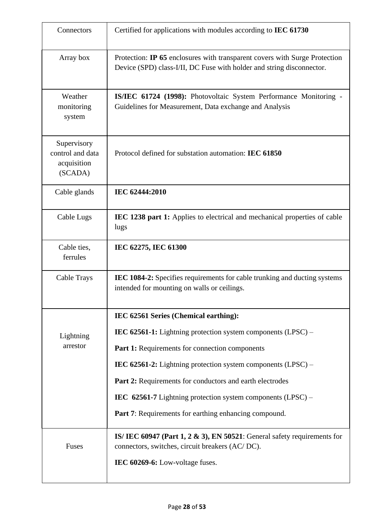| Connectors                                                | Certified for applications with modules according to IEC 61730                                                                                                   |  |  |  |  |
|-----------------------------------------------------------|------------------------------------------------------------------------------------------------------------------------------------------------------------------|--|--|--|--|
| Array box                                                 | Protection: IP 65 enclosures with transparent covers with Surge Protection<br>Device (SPD) class-I/II, DC Fuse with holder and string disconnector.              |  |  |  |  |
| Weather<br>monitoring<br>system                           | IS/IEC 61724 (1998): Photovoltaic System Performance Monitoring -<br>Guidelines for Measurement, Data exchange and Analysis                                      |  |  |  |  |
| Supervisory<br>control and data<br>acquisition<br>(SCADA) | Protocol defined for substation automation: IEC 61850                                                                                                            |  |  |  |  |
| Cable glands                                              | IEC 62444:2010                                                                                                                                                   |  |  |  |  |
| Cable Lugs                                                | IEC 1238 part 1: Applies to electrical and mechanical properties of cable<br>lugs                                                                                |  |  |  |  |
| Cable ties,<br>ferrules                                   | IEC 62275, IEC 61300                                                                                                                                             |  |  |  |  |
| Cable Trays                                               | <b>IEC 1084-2:</b> Specifies requirements for cable trunking and ducting systems<br>intended for mounting on walls or ceilings.                                  |  |  |  |  |
|                                                           | IEC 62561 Series (Chemical earthing):                                                                                                                            |  |  |  |  |
| Lightning                                                 | IEC 62561-1: Lightning protection system components $(LPSC)$ –                                                                                                   |  |  |  |  |
| arrestor                                                  | Part 1: Requirements for connection components                                                                                                                   |  |  |  |  |
|                                                           | IEC 62561-2: Lightning protection system components $(LPSC)$ –                                                                                                   |  |  |  |  |
|                                                           | Part 2: Requirements for conductors and earth electrodes                                                                                                         |  |  |  |  |
|                                                           | IEC $62561-7$ Lightning protection system components (LPSC) –                                                                                                    |  |  |  |  |
|                                                           | <b>Part 7:</b> Requirements for earthing enhancing compound.                                                                                                     |  |  |  |  |
| Fuses                                                     | IS/IEC 60947 (Part 1, 2 $\&$ 3), EN 50521: General safety requirements for<br>connectors, switches, circuit breakers (AC/DC).<br>IEC 60269-6: Low-voltage fuses. |  |  |  |  |
|                                                           |                                                                                                                                                                  |  |  |  |  |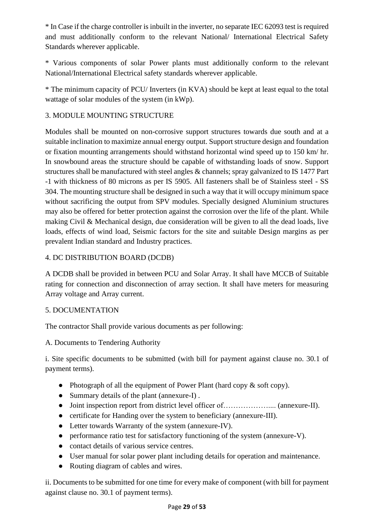\* In Case if the charge controller is inbuilt in the inverter, no separate IEC 62093 test is required and must additionally conform to the relevant National/ International Electrical Safety Standards wherever applicable.

\* Various components of solar Power plants must additionally conform to the relevant National/International Electrical safety standards wherever applicable.

\* The minimum capacity of PCU/ Inverters (in KVA) should be kept at least equal to the total wattage of solar modules of the system (in kWp).

#### 3. MODULE MOUNTING STRUCTURE

Modules shall be mounted on non-corrosive support structures towards due south and at a suitable inclination to maximize annual energy output. Support structure design and foundation or fixation mounting arrangements should withstand horizontal wind speed up to 150 km/ hr. In snowbound areas the structure should be capable of withstanding loads of snow. Support structures shall be manufactured with steel angles & channels; spray galvanized to IS 1477 Part -1 with thickness of 80 microns as per IS 5905. All fasteners shall be of Stainless steel - SS 304. The mounting structure shall be designed in such a way that it will occupy minimum space without sacrificing the output from SPV modules. Specially designed Aluminium structures may also be offered for better protection against the corrosion over the life of the plant. While making Civil & Mechanical design, due consideration will be given to all the dead loads, live loads, effects of wind load, Seismic factors for the site and suitable Design margins as per prevalent Indian standard and Industry practices.

#### 4. DC DISTRIBUTION BOARD (DCDB)

A DCDB shall be provided in between PCU and Solar Array. It shall have MCCB of Suitable rating for connection and disconnection of array section. It shall have meters for measuring Array voltage and Array current.

#### 5. DOCUMENTATION

The contractor Shall provide various documents as per following:

A. Documents to Tendering Authority

i. Site specific documents to be submitted (with bill for payment against clause no. 30.1 of payment terms).

- Photograph of all the equipment of Power Plant (hard copy  $\&$  soft copy).
- Summary details of the plant (annexure-I) .
- Joint inspection report from district level officer of……………….... (annexure-II).
- certificate for Handing over the system to beneficiary (annexure-III).
- Letter towards Warranty of the system (annexure-IV).
- performance ratio test for satisfactory functioning of the system (annexure-V).
- contact details of various service centres.
- User manual for solar power plant including details for operation and maintenance.
- Routing diagram of cables and wires.

ii. Documents to be submitted for one time for every make of component (with bill for payment against clause no. 30.1 of payment terms).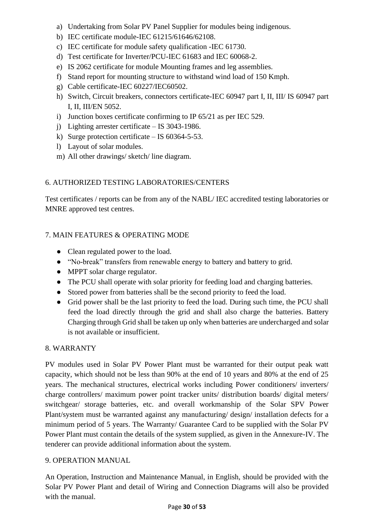- a) Undertaking from Solar PV Panel Supplier for modules being indigenous.
- b) IEC certificate module-IEC 61215/61646/62108.
- c) IEC certificate for module safety qualification -IEC 61730.
- d) Test certificate for Inverter/PCU-IEC 61683 and IEC 60068-2.
- e) IS 2062 certificate for module Mounting frames and leg assemblies.
- f) Stand report for mounting structure to withstand wind load of 150 Kmph.
- g) Cable certificate-IEC 60227/IEC60502.
- h) Switch, Circuit breakers, connectors certificate-IEC 60947 part I, II, III/ IS 60947 part I, II, III/EN 5052.
- i) Junction boxes certificate confirming to IP 65/21 as per IEC 529.
- j) Lighting arrester certificate IS 3043-1986.
- k) Surge protection certificate IS 60364-5-53.
- l) Layout of solar modules.
- m) All other drawings/ sketch/ line diagram.

#### 6. AUTHORIZED TESTING LABORATORIES/CENTERS

Test certificates / reports can be from any of the NABL/ IEC accredited testing laboratories or MNRE approved test centres.

#### 7. MAIN FEATURES & OPERATING MODE

- Clean regulated power to the load.
- "No-break" transfers from renewable energy to battery and battery to grid.
- MPPT solar charge regulator.
- The PCU shall operate with solar priority for feeding load and charging batteries.
- Stored power from batteries shall be the second priority to feed the load.
- Grid power shall be the last priority to feed the load. During such time, the PCU shall feed the load directly through the grid and shall also charge the batteries. Battery Charging through Grid shall be taken up only when batteries are undercharged and solar is not available or insufficient.

#### 8. WARRANTY

PV modules used in Solar PV Power Plant must be warranted for their output peak watt capacity, which should not be less than 90% at the end of 10 years and 80% at the end of 25 years. The mechanical structures, electrical works including Power conditioners/ inverters/ charge controllers/ maximum power point tracker units/ distribution boards/ digital meters/ switchgear/ storage batteries, etc. and overall workmanship of the Solar SPV Power Plant/system must be warranted against any manufacturing/ design/ installation defects for a minimum period of 5 years. The Warranty/ Guarantee Card to be supplied with the Solar PV Power Plant must contain the details of the system supplied, as given in the Annexure-IV. The tenderer can provide additional information about the system.

#### 9. OPERATION MANUAL

An Operation, Instruction and Maintenance Manual, in English, should be provided with the Solar PV Power Plant and detail of Wiring and Connection Diagrams will also be provided with the manual.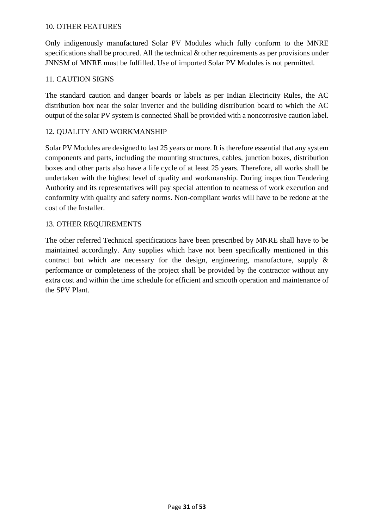#### 10. OTHER FEATURES

Only indigenously manufactured Solar PV Modules which fully conform to the MNRE specifications shall be procured. All the technical & other requirements as per provisions under JNNSM of MNRE must be fulfilled. Use of imported Solar PV Modules is not permitted.

#### 11. CAUTION SIGNS

The standard caution and danger boards or labels as per Indian Electricity Rules, the AC distribution box near the solar inverter and the building distribution board to which the AC output of the solar PV system is connected Shall be provided with a noncorrosive caution label.

#### 12. QUALITY AND WORKMANSHIP

Solar PV Modules are designed to last 25 years or more. It is therefore essential that any system components and parts, including the mounting structures, cables, junction boxes, distribution boxes and other parts also have a life cycle of at least 25 years. Therefore, all works shall be undertaken with the highest level of quality and workmanship. During inspection Tendering Authority and its representatives will pay special attention to neatness of work execution and conformity with quality and safety norms. Non-compliant works will have to be redone at the cost of the Installer.

#### 13. OTHER REQUIREMENTS

The other referred Technical specifications have been prescribed by MNRE shall have to be maintained accordingly. Any supplies which have not been specifically mentioned in this contract but which are necessary for the design, engineering, manufacture, supply  $\&$ performance or completeness of the project shall be provided by the contractor without any extra cost and within the time schedule for efficient and smooth operation and maintenance of the SPV Plant.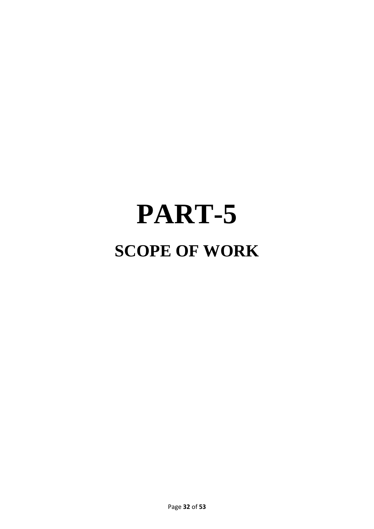# **PART-5 SCOPE OF WORK**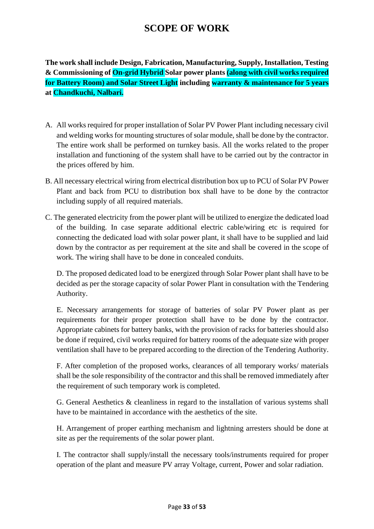# **SCOPE OF WORK**

**The work shall include Design, Fabrication, Manufacturing, Supply, Installation, Testing & Commissioning of On-grid Hybrid Solar power plants (along with civil works required for Battery Room) and Solar Street Light including warranty & maintenance for 5 years at Chandkuchi, Nalbari.**

- A. All works required for proper installation of Solar PV Power Plant including necessary civil and welding works for mounting structures of solar module, shall be done by the contractor. The entire work shall be performed on turnkey basis. All the works related to the proper installation and functioning of the system shall have to be carried out by the contractor in the prices offered by him.
- B. All necessary electrical wiring from electrical distribution box up to PCU of Solar PV Power Plant and back from PCU to distribution box shall have to be done by the contractor including supply of all required materials.
- C. The generated electricity from the power plant will be utilized to energize the dedicated load of the building. In case separate additional electric cable/wiring etc is required for connecting the dedicated load with solar power plant, it shall have to be supplied and laid down by the contractor as per requirement at the site and shall be covered in the scope of work. The wiring shall have to be done in concealed conduits.

D. The proposed dedicated load to be energized through Solar Power plant shall have to be decided as per the storage capacity of solar Power Plant in consultation with the Tendering Authority.

E. Necessary arrangements for storage of batteries of solar PV Power plant as per requirements for their proper protection shall have to be done by the contractor. Appropriate cabinets for battery banks, with the provision of racks for batteries should also be done if required, civil works required for battery rooms of the adequate size with proper ventilation shall have to be prepared according to the direction of the Tendering Authority.

F. After completion of the proposed works, clearances of all temporary works/ materials shall be the sole responsibility of the contractor and this shall be removed immediately after the requirement of such temporary work is completed.

G. General Aesthetics & cleanliness in regard to the installation of various systems shall have to be maintained in accordance with the aesthetics of the site.

H. Arrangement of proper earthing mechanism and lightning arresters should be done at site as per the requirements of the solar power plant.

I. The contractor shall supply/install the necessary tools/instruments required for proper operation of the plant and measure PV array Voltage, current, Power and solar radiation.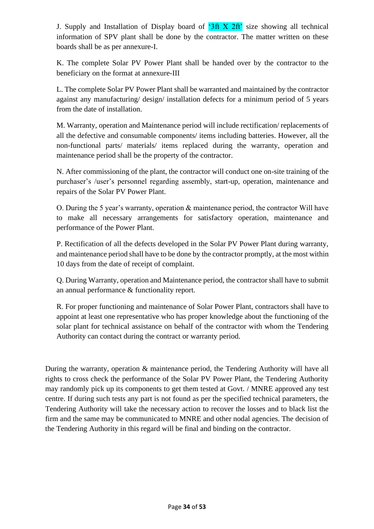J. Supply and Installation of Display board of  $3ft X 2ft'$  size showing all technical information of SPV plant shall be done by the contractor. The matter written on these boards shall be as per annexure-I.

K. The complete Solar PV Power Plant shall be handed over by the contractor to the beneficiary on the format at annexure-III

L. The complete Solar PV Power Plant shall be warranted and maintained by the contractor against any manufacturing/ design/ installation defects for a minimum period of 5 years from the date of installation.

M. Warranty, operation and Maintenance period will include rectification/ replacements of all the defective and consumable components/ items including batteries. However, all the non-functional parts/ materials/ items replaced during the warranty, operation and maintenance period shall be the property of the contractor.

N. After commissioning of the plant, the contractor will conduct one on-site training of the purchaser's /user's personnel regarding assembly, start-up, operation, maintenance and repairs of the Solar PV Power Plant.

O. During the 5 year's warranty, operation & maintenance period, the contractor Will have to make all necessary arrangements for satisfactory operation, maintenance and performance of the Power Plant.

P. Rectification of all the defects developed in the Solar PV Power Plant during warranty, and maintenance period shall have to be done by the contractor promptly, at the most within 10 days from the date of receipt of complaint.

Q. During Warranty, operation and Maintenance period, the contractor shall have to submit an annual performance & functionality report.

R. For proper functioning and maintenance of Solar Power Plant, contractors shall have to appoint at least one representative who has proper knowledge about the functioning of the solar plant for technical assistance on behalf of the contractor with whom the Tendering Authority can contact during the contract or warranty period.

During the warranty, operation & maintenance period, the Tendering Authority will have all rights to cross check the performance of the Solar PV Power Plant, the Tendering Authority may randomly pick up its components to get them tested at Govt. / MNRE approved any test centre. If during such tests any part is not found as per the specified technical parameters, the Tendering Authority will take the necessary action to recover the losses and to black list the firm and the same may be communicated to MNRE and other nodal agencies. The decision of the Tendering Authority in this regard will be final and binding on the contractor.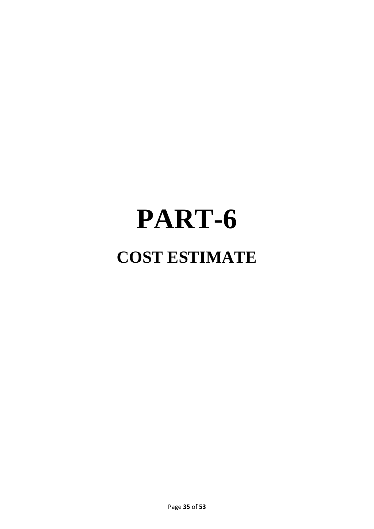# **PART-6 COST ESTIMATE**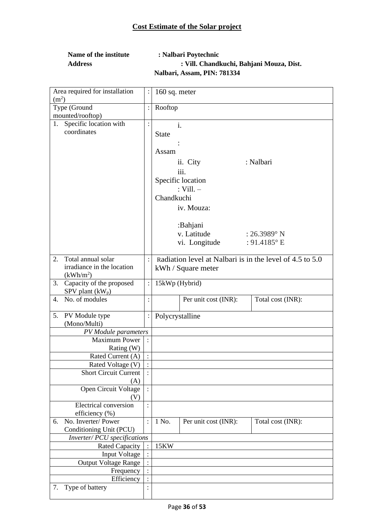| Name of the institute | : Nalbari Poytechnic                     |  |
|-----------------------|------------------------------------------|--|
| <b>Address</b>        | : Vill. Chandkuchi, Bahjani Mouza, Dist. |  |
|                       | Nalbari, Assam, PIN: 781334              |  |

| Area required for installation<br>(m <sup>2</sup> ) | $\colon$       | $160$ sq. meter |                      |                                                          |
|-----------------------------------------------------|----------------|-----------------|----------------------|----------------------------------------------------------|
| Type (Ground                                        |                | Rooftop         |                      |                                                          |
| mounted/rooftop)                                    |                |                 |                      |                                                          |
| Specific location with<br>1.                        | $\colon$       |                 | i.                   |                                                          |
| coordinates                                         |                | <b>State</b>    |                      |                                                          |
|                                                     |                |                 |                      |                                                          |
|                                                     |                | Assam           |                      |                                                          |
|                                                     |                |                 |                      | : Nalbari                                                |
|                                                     |                |                 | ii. City             |                                                          |
|                                                     |                |                 | iii.                 |                                                          |
|                                                     |                |                 | Specific location    |                                                          |
|                                                     |                |                 | : Vill. $-$          |                                                          |
|                                                     |                | Chandkuchi      |                      |                                                          |
|                                                     |                |                 | iv. Mouza:           |                                                          |
|                                                     |                |                 |                      |                                                          |
|                                                     |                |                 | :Bahjani             |                                                          |
|                                                     |                |                 | v. Latitude          | : $26.3989$ ° N                                          |
|                                                     |                |                 | vi. Longitude        | : $91.4185$ °E                                           |
|                                                     |                |                 |                      |                                                          |
| Total annual solar<br>2.                            | $\vdots$       |                 |                      | Radiation level at Nalbari is in the level of 4.5 to 5.0 |
| irradiance in the location                          |                |                 | kWh / Square meter   |                                                          |
| (kWh/m <sup>2</sup> )                               |                |                 |                      |                                                          |
| Capacity of the proposed<br>3.                      | $\colon$       | 15kWp (Hybrid)  |                      |                                                          |
| SPV plant $(kW_p)$<br>No. of modules                |                |                 |                      |                                                          |
| 4.                                                  | $\ddot{\cdot}$ |                 | Per unit cost (INR): | Total cost (INR):                                        |
| 5.<br>PV Module type                                | $\vdots$       | Polycrystalline |                      |                                                          |
| (Mono/Multi)                                        |                |                 |                      |                                                          |
| PV Module parameters                                |                |                 |                      |                                                          |
| <b>Maximum Power</b>                                |                |                 |                      |                                                          |
| Rating (W)                                          |                |                 |                      |                                                          |
| Rated Current (A)                                   | $\div$         |                 |                      |                                                          |
| Rated Voltage (V)                                   | $\ddot{\cdot}$ |                 |                      |                                                          |
| <b>Short Circuit Current</b>                        |                |                 |                      |                                                          |
| (A)                                                 |                |                 |                      |                                                          |
| Open Circuit Voltage                                | $\ddot{\cdot}$ |                 |                      |                                                          |
| (V)                                                 |                |                 |                      |                                                          |
| Electrical conversion                               | $\ddot{\cdot}$ |                 |                      |                                                          |
| efficiency (%)<br>No. Inverter/Power                |                | 1 No.           |                      |                                                          |
| 6.<br>Conditioning Unit (PCU)                       |                |                 | Per unit cost (INR): | Total cost (INR):                                        |
| Inverter/ PCU specifications                        |                |                 |                      |                                                          |
| <b>Rated Capacity</b>                               | $\ddot{\cdot}$ | 15KW            |                      |                                                          |
| <b>Input Voltage</b>                                | $\ddot{\cdot}$ |                 |                      |                                                          |
| <b>Output Voltage Range</b>                         |                |                 |                      |                                                          |
| Frequency                                           |                |                 |                      |                                                          |
| Efficiency                                          | $\vdots$       |                 |                      |                                                          |
|                                                     |                |                 |                      |                                                          |
| Type of battery<br>7.                               |                |                 |                      |                                                          |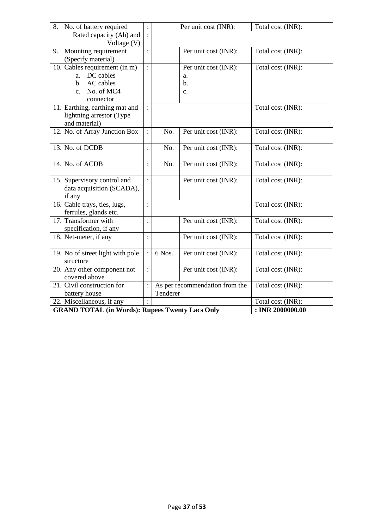| 8.<br>No. of battery required                                                       | $\ddot{\cdot}$ |          | Per unit cost (INR):           | Total cost (INR):                     |
|-------------------------------------------------------------------------------------|----------------|----------|--------------------------------|---------------------------------------|
| Rated capacity (Ah) and<br>Voltage $(V)$                                            | $\ddot{\cdot}$ |          |                                |                                       |
| Mounting requirement<br>9.                                                          |                |          | Per unit cost (INR):           | Total cost (INR):                     |
| (Specify material)                                                                  |                |          |                                |                                       |
| 10. Cables requirement (in m)                                                       | $\ddot{\cdot}$ |          | Per unit cost (INR):           | Total cost (INR):                     |
| a. DC cables                                                                        |                |          | a.                             |                                       |
| AC cables<br>b.                                                                     |                |          | b.                             |                                       |
| No. of MC4<br>$\mathbf{c}$ .<br>connector                                           |                |          | c.                             |                                       |
| 11. Earthing, earthing mat and                                                      | $\ddot{\cdot}$ |          |                                | Total cost (INR):                     |
| lightning arrestor (Type                                                            |                |          |                                |                                       |
| and material)                                                                       |                |          |                                |                                       |
| 12. No. of Array Junction Box                                                       | $\vdots$       | No.      | Per unit cost (INR):           | Total cost (INR):                     |
| 13. No. of DCDB                                                                     | $\ddot{\cdot}$ | No.      | Per unit cost (INR):           | Total cost (INR):                     |
|                                                                                     |                |          |                                |                                       |
| 14. No. of ACDB                                                                     | $\ddot{\cdot}$ | No.      | Per unit cost (INR):           | Total cost (INR):                     |
|                                                                                     |                |          |                                |                                       |
| 15. Supervisory control and                                                         | $\ddot{\cdot}$ |          | Per unit cost (INR):           | Total cost (INR):                     |
| data acquisition (SCADA),<br>if any                                                 |                |          |                                |                                       |
| 16. Cable trays, ties, lugs,                                                        | $\ddot{\cdot}$ |          |                                | Total cost (INR):                     |
| ferrules, glands etc.                                                               |                |          |                                |                                       |
| 17. Transformer with                                                                | $\ddot{\cdot}$ |          | Per unit cost (INR):           | Total cost (INR):                     |
| specification, if any                                                               |                |          |                                |                                       |
| 18. Net-meter, if any                                                               | $\vdots$       |          | Per unit cost (INR):           | Total cost (INR):                     |
| 19. No of street light with pole                                                    | $\ddot{\cdot}$ | 6 Nos.   | Per unit cost (INR):           | Total cost (INR):                     |
| structure                                                                           |                |          |                                |                                       |
| 20. Any other component not                                                         | $\ddot{\cdot}$ |          | Per unit cost (INR):           | Total cost (INR):                     |
| covered above                                                                       |                |          |                                |                                       |
| 21. Civil construction for                                                          | ł.             |          | As per recommendation from the | Total cost (INR):                     |
| battery house                                                                       |                | Tenderer |                                |                                       |
| 22. Miscellaneous, if any<br><b>GRAND TOTAL (in Words): Rupees Twenty Lacs Only</b> |                |          |                                | Total cost (INR):<br>: INR 2000000.00 |
|                                                                                     |                |          |                                |                                       |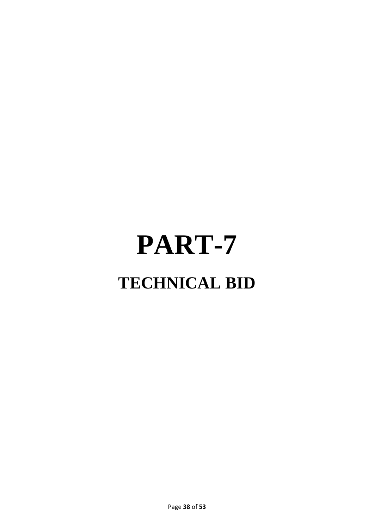# **PART-7 TECHNICAL BID**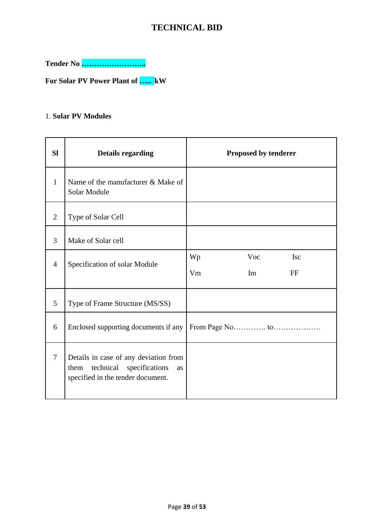### **TECHNICAL BID**

**Tender No ……………………..**

**For Solar PV Power Plant of ….. kW**

#### 1. **Solar PV Modules**

| <b>SI</b>      | <b>Details regarding</b>                                                                                                | <b>Proposed by tenderer</b>               |
|----------------|-------------------------------------------------------------------------------------------------------------------------|-------------------------------------------|
| $\mathbf{1}$   | Name of the manufacturer & Make of<br>Solar Module                                                                      |                                           |
| 2              | Type of Solar Cell                                                                                                      |                                           |
| 3              | Make of Solar cell                                                                                                      |                                           |
| $\overline{4}$ | Specification of solar Module                                                                                           | Wp<br>Voc<br><b>Isc</b><br>Vm<br>Im<br>FF |
| 5              | Type of Frame Structure (MS/SS)                                                                                         |                                           |
| 6              | Enclosed supporting documents if any                                                                                    |                                           |
| $\overline{7}$ | Details in case of any deviation from<br>technical<br>specifications<br>them<br>as<br>specified in the tender document. |                                           |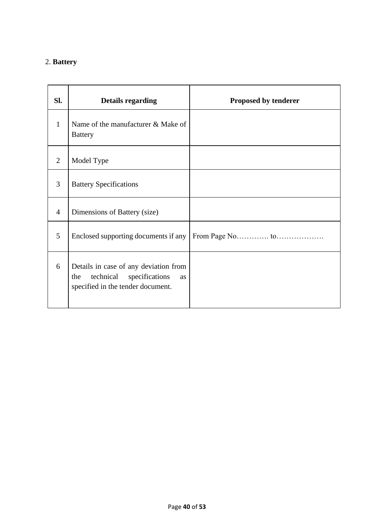# 2. **Battery**

| SI.            | <b>Details regarding</b>                                                                                                      | Proposed by tenderer |
|----------------|-------------------------------------------------------------------------------------------------------------------------------|----------------------|
| $\mathbf{1}$   | Name of the manufacturer & Make of<br><b>Battery</b>                                                                          |                      |
| $\overline{2}$ | Model Type                                                                                                                    |                      |
| 3              | <b>Battery Specifications</b>                                                                                                 |                      |
| 4              | Dimensions of Battery (size)                                                                                                  |                      |
| 5              | Enclosed supporting documents if any                                                                                          |                      |
| 6              | Details in case of any deviation from<br>specifications<br>technical<br>the<br><b>as</b><br>specified in the tender document. |                      |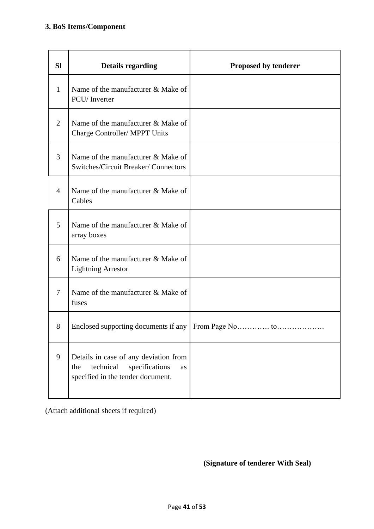| <b>SI</b>      | <b>Details regarding</b>                                                                                               | Proposed by tenderer |
|----------------|------------------------------------------------------------------------------------------------------------------------|----------------------|
| $\mathbf{1}$   | Name of the manufacturer & Make of<br>PCU/Inverter                                                                     |                      |
| $\overline{2}$ | Name of the manufacturer & Make of<br>Charge Controller/ MPPT Units                                                    |                      |
| 3              | Name of the manufacturer & Make of<br>Switches/Circuit Breaker/ Connectors                                             |                      |
| 4              | Name of the manufacturer & Make of<br>Cables                                                                           |                      |
| 5              | Name of the manufacturer & Make of<br>array boxes                                                                      |                      |
| 6              | Name of the manufacturer & Make of<br><b>Lightning Arrestor</b>                                                        |                      |
| 7              | Name of the manufacturer & Make of<br>fuses                                                                            |                      |
| 8              | Enclosed supporting documents if any                                                                                   |                      |
| 9              | Details in case of any deviation from<br>technical<br>specifications<br>the<br>as<br>specified in the tender document. |                      |

(Attach additional sheets if required)

**(Signature of tenderer With Seal)**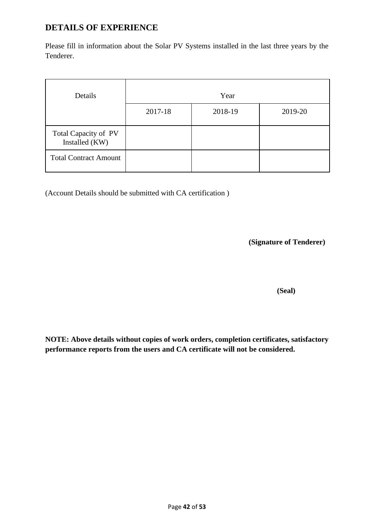### **DETAILS OF EXPERIENCE**

Please fill in information about the Solar PV Systems installed in the last three years by the Tenderer.

| Details                                | Year    |         |         |  |
|----------------------------------------|---------|---------|---------|--|
|                                        | 2017-18 | 2018-19 | 2019-20 |  |
| Total Capacity of PV<br>Installed (KW) |         |         |         |  |
| <b>Total Contract Amount</b>           |         |         |         |  |

(Account Details should be submitted with CA certification )

**(Signature of Tenderer)**

 **(Seal)**

**NOTE: Above details without copies of work orders, completion certificates, satisfactory performance reports from the users and CA certificate will not be considered.**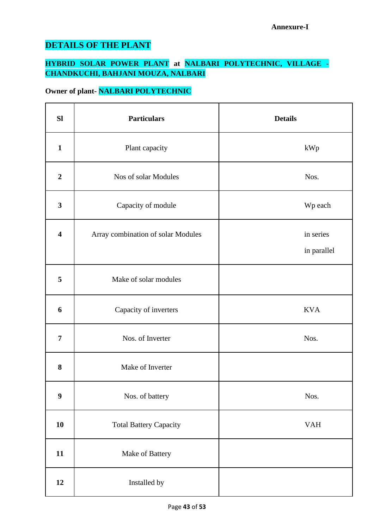# **DETAILS OF THE PLANT**

### **HYBRID SOLAR POWER PLANT at NALBARI POLYTECHNIC, VILLAGE - CHANDKUCHI, BAHJANI MOUZA, NALBARI**

## **Owner of plant- NALBARI POLYTECHNIC**

| <b>Sl</b>               | <b>Particulars</b>                 | <b>Details</b>           |
|-------------------------|------------------------------------|--------------------------|
| $\mathbf{1}$            | Plant capacity                     | kWp                      |
| $\boldsymbol{2}$        | Nos of solar Modules               | Nos.                     |
| $\mathbf{3}$            | Capacity of module                 | Wp each                  |
| $\overline{\mathbf{4}}$ | Array combination of solar Modules | in series<br>in parallel |
| 5                       | Make of solar modules              |                          |
| 6                       | Capacity of inverters              | <b>KVA</b>               |
| $\overline{7}$          | Nos. of Inverter                   | Nos.                     |
| 8                       | Make of Inverter                   |                          |
| $\boldsymbol{9}$        | Nos. of battery                    | Nos.                     |
| 10                      | <b>Total Battery Capacity</b>      | <b>VAH</b>               |
| 11                      | Make of Battery                    |                          |
| 12                      | Installed by                       |                          |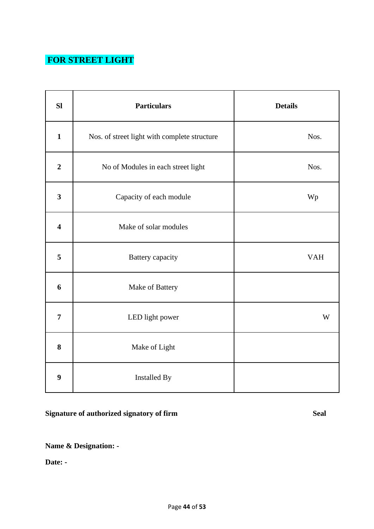# **FOR STREET LIGHT**

| SI                      | <b>Particulars</b>                           | <b>Details</b> |
|-------------------------|----------------------------------------------|----------------|
| $\mathbf{1}$            | Nos. of street light with complete structure | Nos.           |
| $\overline{2}$          | No of Modules in each street light           | Nos.           |
| $\mathbf{3}$            | Capacity of each module                      | Wp             |
| $\overline{\mathbf{4}}$ | Make of solar modules                        |                |
| 5                       | Battery capacity                             | <b>VAH</b>     |
| 6                       | Make of Battery                              |                |
| $\overline{7}$          | LED light power                              | W              |
| 8                       | Make of Light                                |                |
| $\boldsymbol{9}$        | Installed By                                 |                |

# **Signature of authorized signatory of firm Seal**

**Name & Designation: -**

**Date: -**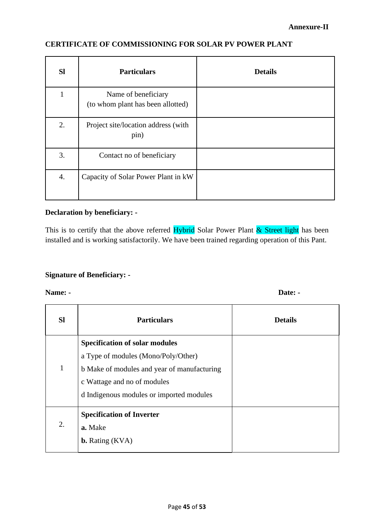#### **CERTIFICATE OF COMMISSIONING FOR SOLAR PV POWER PLANT**

| <b>SI</b> | <b>Particulars</b>                                       | <b>Details</b> |
|-----------|----------------------------------------------------------|----------------|
| ı         | Name of beneficiary<br>(to whom plant has been allotted) |                |
| 2.        | Project site/location address (with<br>pin)              |                |
| 3.        | Contact no of beneficiary                                |                |
| 4.        | Capacity of Solar Power Plant in kW                      |                |

#### **Declaration by beneficiary: -**

This is to certify that the above referred  $H$ ybrid Solar Power Plant  $\&$  Street light has been installed and is working satisfactorily. We have been trained regarding operation of this Pant.

#### **Signature of Beneficiary: -**

**Name:** - Date: -

| <b>SI</b> | <b>Particulars</b>                                                                                                                                                                                     | <b>Details</b> |
|-----------|--------------------------------------------------------------------------------------------------------------------------------------------------------------------------------------------------------|----------------|
| 1         | <b>Specification of solar modules</b><br>a Type of modules (Mono/Poly/Other)<br>b Make of modules and year of manufacturing<br>c Wattage and no of modules<br>d Indigenous modules or imported modules |                |
| 2.        | <b>Specification of Inverter</b><br>a. Make<br><b>b.</b> Rating (KVA)                                                                                                                                  |                |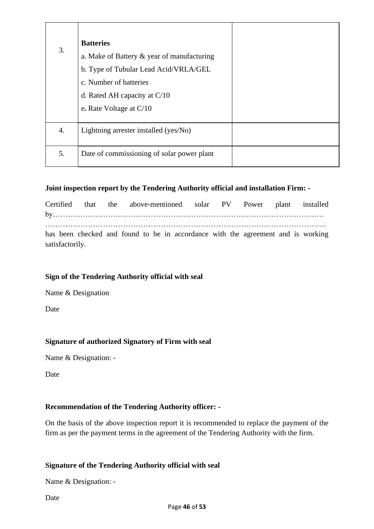|    | <b>Batteries</b>                           |  |
|----|--------------------------------------------|--|
| 3. | a. Make of Battery & year of manufacturing |  |
|    | b. Type of Tubular Lead Acid/VRLA/GEL      |  |
|    | c. Number of batteries                     |  |
|    | d. Rated AH capacity at $C/10$             |  |
|    | e. Rate Voltage at $C/10$                  |  |
|    |                                            |  |
| 4. | Lightning arrester installed (yes/No)      |  |
| 5. | Date of commissioning of solar power plant |  |

#### **Joint inspection report by the Tendering Authority official and installation Firm: -**

|                 |  |  | Certified that the above-mentioned solar PV Power plant installed                |  |  |  |
|-----------------|--|--|----------------------------------------------------------------------------------|--|--|--|
|                 |  |  |                                                                                  |  |  |  |
|                 |  |  | has been checked and found to be in accordance with the agreement and is working |  |  |  |
| satisfactorily. |  |  |                                                                                  |  |  |  |

#### **Sign of the Tendering Authority official with seal**

Name & Designation

**Date** 

#### **Signature of authorized Signatory of Firm with seal**

Name & Designation: -

Date

#### **Recommendation of the Tendering Authority officer: -**

On the basis of the above inspection report it is recommended to replace the payment of the firm as per the payment terms in the agreement of the Tendering Authority with the firm.

#### **Signature of the Tendering Authority official with seal**

Name & Designation: -

Date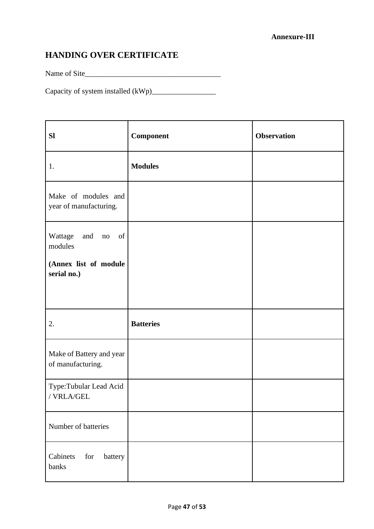# **HANDING OVER CERTIFICATE**

Name of Site\_\_\_\_\_\_\_\_\_\_\_\_\_\_\_\_\_\_\_\_\_\_\_\_\_\_\_\_\_\_\_\_\_\_\_\_

Capacity of system installed (kWp)\_\_\_\_\_\_\_\_\_\_\_\_\_\_\_\_\_

| <b>SI</b>                                                 | <b>Component</b> | <b>Observation</b> |
|-----------------------------------------------------------|------------------|--------------------|
| 1.                                                        | <b>Modules</b>   |                    |
| Make of modules and<br>year of manufacturing.             |                  |                    |
| of<br>Wattage<br>and no<br>modules                        |                  |                    |
| (Annex list of module<br>serial no.)                      |                  |                    |
|                                                           |                  |                    |
| 2.                                                        | <b>Batteries</b> |                    |
| Make of Battery and year<br>of manufacturing.             |                  |                    |
| Type: Tubular Lead Acid<br>/ $\mathsf{VRLA}/\mathsf{GEL}$ |                  |                    |
| Number of batteries                                       |                  |                    |
| Cabinets<br>for<br>battery<br>banks                       |                  |                    |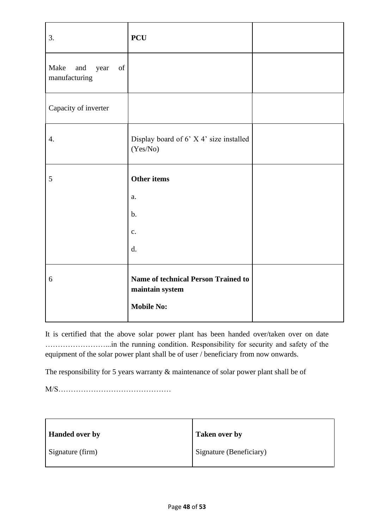| 3.                                                                                                                                         | <b>PCU</b>                                                                         |  |
|--------------------------------------------------------------------------------------------------------------------------------------------|------------------------------------------------------------------------------------|--|
| Make<br>and<br>$% \left( \left( \mathcal{A},\mathcal{A}\right) \right) =\left( \mathcal{A},\mathcal{A}\right)$ of<br>year<br>manufacturing |                                                                                    |  |
| Capacity of inverter                                                                                                                       |                                                                                    |  |
| $\overline{4}$ .                                                                                                                           | Display board of 6' X 4' size installed<br>(Yes/No)                                |  |
| $\mathfrak{S}$                                                                                                                             | Other items                                                                        |  |
|                                                                                                                                            | a.                                                                                 |  |
|                                                                                                                                            | $b$ .                                                                              |  |
|                                                                                                                                            | $\mathbf{c}$ .                                                                     |  |
|                                                                                                                                            | d.                                                                                 |  |
| 6                                                                                                                                          | <b>Name of technical Person Trained to</b><br>maintain system<br><b>Mobile No:</b> |  |

It is certified that the above solar power plant has been handed over/taken over on date ……………………...in the running condition. Responsibility for security and safety of the equipment of the solar power plant shall be of user / beneficiary from now onwards.

The responsibility for 5 years warranty & maintenance of solar power plant shall be of

M/S………………………………………

| <b>Handed over by</b> | <b>Taken over by</b>    |
|-----------------------|-------------------------|
| Signature (firm)      | Signature (Beneficiary) |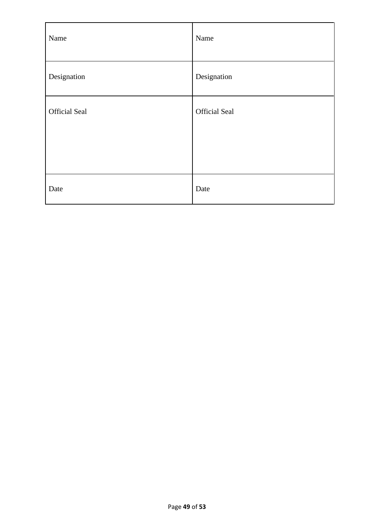| Name                 | Name                 |
|----------------------|----------------------|
| Designation          | Designation          |
| <b>Official Seal</b> | <b>Official Seal</b> |
| Date                 | Date                 |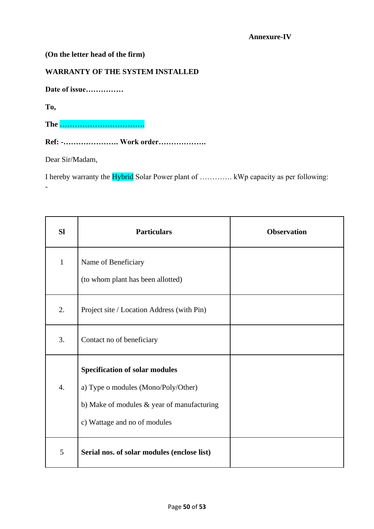#### **(On the letter head of the firm)**

#### **WARRANTY OF THE SYSTEM INSTALLED**

**Date of issue……………**

**To,**

-

**The …………………………….**

**Ref: -…………………. Work order……………….**

Dear Sir/Madam,

I hereby warranty the Hybrid Solar Power plant of …………. kWp capacity as per following:

| <b>Sl</b>    | <b>Particulars</b>                                                                                                                                         | <b>Observation</b> |
|--------------|------------------------------------------------------------------------------------------------------------------------------------------------------------|--------------------|
| $\mathbf{1}$ | Name of Beneficiary<br>(to whom plant has been allotted)                                                                                                   |                    |
| 2.           | Project site / Location Address (with Pin)                                                                                                                 |                    |
| 3.           | Contact no of beneficiary                                                                                                                                  |                    |
| 4.           | <b>Specification of solar modules</b><br>a) Type o modules (Mono/Poly/Other)<br>b) Make of modules & year of manufacturing<br>c) Wattage and no of modules |                    |
| 5            | Serial nos. of solar modules (enclose list)                                                                                                                |                    |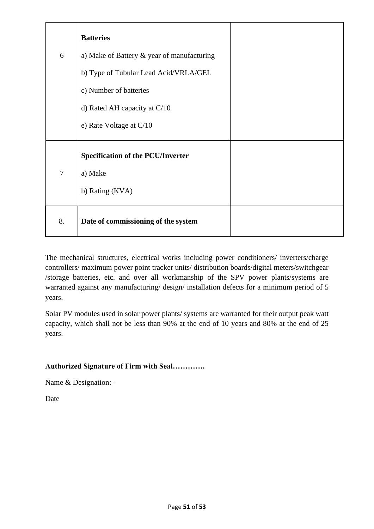|                | <b>Batteries</b>                              |  |
|----------------|-----------------------------------------------|--|
| 6              | a) Make of Battery $\&$ year of manufacturing |  |
|                | b) Type of Tubular Lead Acid/VRLA/GEL         |  |
|                | c) Number of batteries                        |  |
|                | d) Rated AH capacity at $C/10$                |  |
|                | e) Rate Voltage at $C/10$                     |  |
|                | <b>Specification of the PCU/Inverter</b>      |  |
| $\overline{7}$ | a) Make                                       |  |
|                | b) Rating (KVA)                               |  |
| 8.             | Date of commissioning of the system           |  |

The mechanical structures, electrical works including power conditioners/ inverters/charge controllers/ maximum power point tracker units/ distribution boards/digital meters/switchgear /storage batteries, etc. and over all workmanship of the SPV power plants/systems are warranted against any manufacturing/ design/ installation defects for a minimum period of 5 years.

Solar PV modules used in solar power plants/ systems are warranted for their output peak watt capacity, which shall not be less than 90% at the end of 10 years and 80% at the end of 25 years.

#### **Authorized Signature of Firm with Seal………….**

Name & Designation: -

Date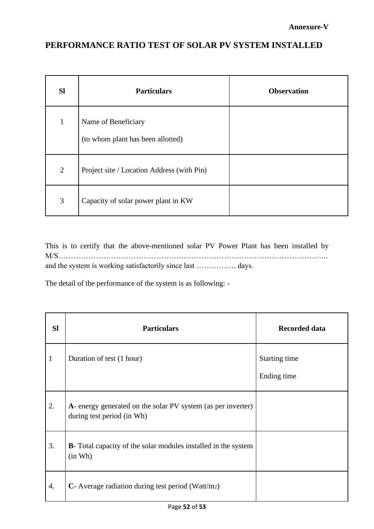### **PERFORMANCE RATIO TEST OF SOLAR PV SYSTEM INSTALLED**

| <b>SI</b>      | <b>Particulars</b>                                       | <b>Observation</b> |
|----------------|----------------------------------------------------------|--------------------|
| $\mathbf 1$    | Name of Beneficiary<br>(to whom plant has been allotted) |                    |
| $\overline{2}$ | Project site / Location Address (with Pin)               |                    |
| 3              | Capacity of solar power plant in KW                      |                    |

This is to certify that the above-mentioned solar PV Power Plant has been installed by M/S……………………………………………………………………………………………... and the system is working satisfactorily since last ……………. days.

The detail of the performance of the system is as following: -

| <b>Sl</b>    | <b>Particulars</b>                                                                         | <b>Recorded data</b>         |
|--------------|--------------------------------------------------------------------------------------------|------------------------------|
| $\mathbf{1}$ | Duration of test (1 hour)                                                                  | Starting time<br>Ending time |
| 2.           | A- energy generated on the solar PV system (as per inverter)<br>during test period (in Wh) |                              |
| 3.           | <b>B</b> - Total capacity of the solar modules installed in the system<br>(in Wh)          |                              |
| 4.           | C- Average radiation during test period (Watt/m2)                                          |                              |